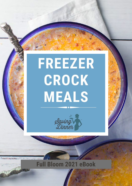# **FREEZER CROCK MEALS**



## **Full Bloom 2021 eBook**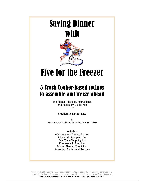## Saving Dinner with



## Five for the Freezer

### 5 Crock Cooker-based recipes to assemble and freeze ahead

The Menus, Recipes, Instructions, and Assembly Guidelines for

#### **5 delicious Dinner Kits**

to Bring your Family Back to the Dinner Table

#### **Includes:**

Welcome and Getting Started Dinner Kit Shopping List Meal Time Shopping List Preassembly Prep List Dinner Planner Check List Assembly Guides and Recipes

Copyright © 2007 Leanne Ely All Rights Reserved. May be copied for individual personal use only. If you'd like to share, please share our free menus available on the web at www.SavingDinner.com **Five for the Freezer Crock Cooker Volume 1 (last updated 02/20/07)**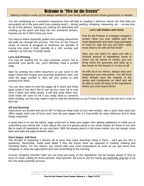### Welcome to "Five for the Freezer"

#### Making nutritious meals you've always wanted for your family without the last minute guesswork or hassles.

You are embarking on a wonderful experience that will lead to creating 5 delicious dinner kits that help you accomplish all of the prep work (non-cooking work!) – dicing, peeling, chopping, measuring, etc. – at one time,

for all of the dinners, leaving you nothing but defrosting and cooking up the quick and easy kits into wonderful dinners. Anyone can do it! We'll show you how!

Our easy-to-follow assembly guides and cooking instructions will walk you through the process. The Five for the Freezer series of menus is designed to maximize the benefits of buying one meat in bulk, typically at a cost savings and making it up into lots of handy meals.

#### **Let's Get Printing**

You may be reading this on your computer screen, but to assemble your dinner kits, you'll definitely need a printed copy.

Start by printing this entire document or just scroll to the pages where the recipes and assembly guidelines start, see what the page number is, then tell your printer to start printing from there.

You can also select to print the pages all in black and white (gray scale) if you don't like to use up your color ink or only have a black and white printer. It will look great either way. Draft mode will save on ink if you really need to conserve

#### **Let's talk Dollars and Cents**

Five for the Freezer is a bargain shopper's dream! Have you ever walked past the meat department and seen huge packages of meat on sale but you just didn't quite know what to do with all that meat?

Now, you can watch for sales and with a minimal amount of ingredients (most of which can be stored on hand!), you can bring home the groceries and whip up a few meals for the freezer in no time at all!

As with all of our menus, always start your shopping in your own pantry. You will most likely already have the majority of the spices and condiments on hand and will be able to mark off many of the ingredients before you even leave home!

when printing, but this may make it hard to read the directions so you'll have to take the trial and error route on that one.

#### **Off and Running**

Instructions are printed and you're off! To help you keep track of your new recipes, take a quick dash past your office supply stash (we all have one!) and slip your pages into a 3 ring binder for easy reference and to keep things organized.

A great idea is to use the plastic page protectors to keep your pages from getting splattered on while you're assembling your dinner kits. It also allows the use of a grease pencil or dry erase marker for those of you who like to mark off ingredients as you use them. With the grease pencil or dry erase marker you can always come back and wipe the page protector clean.

#### **Once begun, half done**

The thought of preparing 5 dinners all at once may seem daunting! Hang in there – we'll get you thru it painlessly. Remember, foods taste better if they are frozen fresh (as opposed to cooking, thawing and reheating them). For this reason, you should plan your meal preparations as soon as you get home from shopping, or shop the night before and start assembling in the morning.

Grocery shopping shouldn't take you too long and many of the ingredients can be bought ahead of time to have on hand, waiting for those periodic meat specials. Be sure to use the handy pre assembly prep list to zip thru the meal assembly process.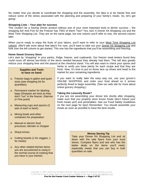No matter how you decide to coordinate the shopping and the assembly, the idea is to be hassle free and reduce some of the stress associated with the planning and preparing of your family's meals. So, let's get going!

#### **Shopping Lists – Your plan for success**

This couldn't be a Saving Dinner product without one of your most important tools to dinner success – the shopping list! And Five for the Freezer has TWO of them! Two? Yes, two! A Dinner Kit Shopping List and the Meal Time Shopping List. They are on the same page, but one column you'll refer to now, the second column later.

When you're ready to enjoy the fruits of your labors, you'll want to refer to your Meal Time Shopping List column. (We'll talk more about that later!) For now, you'll want to take out your Dinner Kit Shopping List and look over the left column to get started. This one has the ingredients that you'll be assembling and freezing.

#### **Home Sweet Grocery Store**

Let's start by "shopping" in your pantry, fridge, freezer, and cupboards. Our freezer meal testers found they could cross off almost two-thirds of the items needed because they already had them. This will also greatly reduce your shopping time and the payout at the checkout stand. You will also want to check your spices and

#### **Supplies and Tools to have on hand:**

- Freezer bags in gallon and quart sizes (see shopping list for quantities)
- **Permanent marker for labeling** bags (Sharpies are best as they don't "run" in the freezer. (Narrow or Fine point)
- □ Measuring cups and spoons (2 sets of each is best!)
- Mixing bowls and other containers for preparation
- □ Manual or electric food processor, blender or chopper
- □ Sharp knives
- Cutting boards (1 for veggies, 1 for meats)
- Any other related kitchen items you are accustomed to using in the normal course of cooking that you have in your kitchen.

herbs to verify you have plenty for each recipe and that they are fresh. Now, It's time to put on those lace up shoes and head to the market for your remaining ingredients.

If you want to really take the easy way out, use your grocer's ONLINE SHOPPING and order your food ahead so it arrives perfectly timed to begin assembly. (See our web site for more about online grocery shopping.)

#### **Taking the Leisurely Route?**

If you are not assembling your dinner kits shortly after shopping, make sure that you properly store frozen foods (don't freeze your fresh meats yet!) and perishables. See our Food Safety Guidelines on the next page for tips!) Remember: You should assemble your meals as soon as possible to have the best results.

#### **Money Saving Tip**

Take your Dinner Kit Shopping List and sit down with the sale flyers from your local stores. Compare flyers and see who has the better deals on the items you'll need, especially meats that you can buy in bulk quantities on sale.

Copyright © 2007 Leanne Ely All Rights Reserved. May be copied for individual personal use only. If you'd like to share, please share our free menus available on the web at www.SavingDinner.com **Five for the Freezer Crock Cooker Volume 1 — Page 3 of 15**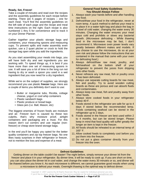#### **Ready, Set, Freeze!**

Take a couple of minutes and read over the recipes and the assembly guidelines for each recipe before starting. There are 5 pages of recipes – one for each meal. You'll find the assembly guidelines on the left side of each page and the recipe and meal time instructions on the right. Each recipe is also numbered 1 thru 5 for convenience and to track it on your Dinner Planner.

Gather together your plastic storage bags and containers, your measuring spoons and measuring cups. To prevent spills and make assembly even quicker, use a 2 quart pitcher or crock to hold the storage bag open while you add the ingredients.

As you start assembling your meals into bags, you will have both dry and wet ingredients you are working with. To speed things up, it is best if you have more than one set of measuring spoons in use. It will save you a lot of time in the long run not having to dry or wash a spoon you used in a wet ingredient that you now need for a dry ingredient.

While we're on the subject of supplies, we strongly recommend you use plastic **freezer** bags. Here are a couple of items you definitely don't want to use:

- Butter or margarine tubs, Ricotta, cottage cheese, yogurt or cool whip containers
- Plastic sandwich bags
- Plastic produce or bread bags
- Glass jars (i.e. Ball, Mason, etc)

The biggest enemies of frozen foods are moisture and air. Freezer burn is caused by these two culprits, that's why moisture proof, airtight containers and packaging are a must. For this reason don't cut corners and use regular (nonfreezer) or cheap store brand storage bags.

In the end you'll be happy you opted for the better quality containers and zip top freezer bags. No one likes nasty surprises in their refrigerator or freezer, not to mention the loss and expense of a meal.

#### **General Food Safety Guidelines You Should Always Follow**

- 1. Always wash your hands before and after handling raw food.
- 2. Defrost/thaw your food in the refrigerator, never at room temp. A quick method to defrost your meal is to place it in a water tight bag and place the bag in a bowl of cold water, changing the water every 30 minutes. Changing the water ensures your meal stays cold and prohibits or slows any bacterial growth. (Microwave defrosting - While thawing food in the microwave may be fast, I don't recommend it. Microwave oven power levels vary greatly between different makes and models. If you choose to use the microwave, do so at your own risk and please follow the instructions that are contained in the manual that came with your oven for defrosting food.)
- 3. Always defrost/thaw raw meat, poultry, and fish/seafood on the bottom shelf of your refrigerator to prevent the juices from dripping onto other foods.
- 4. Never refreeze any raw meat, fish or poultry once it has been defrosted.
- 5. Always use separate cutting boards for raw meat, fish and poultry. Try to avoid wooden cutting boards as these are porous and can absorb fluids and contaminates.
- 6. Always keep raw meat, fish and poultry away from other foods.
- 7. Always store cooked foods in your refrigerator below 40∘F.
- 8. Foods stored in the refrigerator are safe for up to 4 days if stored below the recommended temp. Foods containing seafood can be stored in the refrigerator up to 2 days.
- 9. Foods stored in the freezer are best used within 2 to 4 months, but can be stored longer. Please keep in mind that food quality will suffer greatly the longer an item is kept in the freezer.
- 10. All foods should be reheated to an internal temp of 165° F.
- 11. Allow cooked foods to completely cool before you put them into the freezer.
- 12. Do not put a glass container directly from your freezer into the oven.

#### **Defrost Guidelines**

Getting dinner on the table couldn't be easier! The night before, simply remove your dinner kit from the freezer and place it in your refrigerator. By dinner time, it will be ready to cook up. If you are short on time, you can also place the dinner kit in cool water, and change the water every 30 minutes or so, and dinner will be thawed before you know it. As each microwave is different, we cannot guarantee good results when using a microwave to defrost your meals. Overnight thawing is the optimal way to defrost dinner.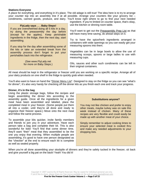#### **Stations Everyone**

A place for everything, and everything in it's place. The old adage is still true! The idea here is to try to arrange your counter top into an assembly line if at all possible. Arrange your counters like your grocery list – condiments, canned goods, produce, and dairy. You'll know right where to go to find your next needed

If you are overwhelmed doing all 5 kits in a day, try doing the preassembly the day before (except for the apples). Keep perishable ingredients in the fridge, then the next day, start assembling.

If you stop for the day after assembling some of the kits or take an extended break from the assembly process don't forget to put your perishables back into the refrigerator.

> (See www.FlyLady.net for more on Baby Steps.)

ingredient. If you're limited on counter space, that's okay, use the kitchen or dinning room table. **FlyLady says . . . Baby Steps!** 

> You'll want to get out the Preassembly Prep List as that will have many time saving, do ahead steps on it.

> Try to have the spice/herb ingredients arranged in containers with wide openings so you can easily get your measuring spoons into them.

> Vegetables can be in large bowls to allow the use of measuring scoops, spoons or large ladles to use with measuring cups.

> Oils, sauces and other such condiments can be left in their original containers.

All meat should be kept in the refrigerator or freezer until you are working on a specific recipe. Arrange all of your dairy products on one shelf in the fridge to quickly grab when needed.

You'll also want to have on hand the "Dinner Menu List". Designed to stay on the fridge so you can see "what's for dinner", it's also very handy for checking off the dinner kits as you finish each one and track your progress.

#### **Dinner, it's in the bag**

Using the plastic storage bags, follow the recipes and begin assembling the dinner kits according to the assembly guide. Once all the ingredients for a given meal have been assembled and labeled, place the completed meal in your freezer. (Some people put them all into a cooler, until they're all done and ready to organize their freezer space.) Move onto the next meal and follow the same process.

To assemble your kits quicker, invite family members and friends to join you in your adventure. Have each person take a bag and complete their kit. This is also wonderful for kids! You'll find that come dinner time, they'll want "their" meal that they assembled to be the one you enjoy that evening. When multiple people are assembling, it's good to have one person designated as the "checker" at the end to ensure each kit is complete as well as sealed properly.

#### **Substitutions anyone?**

You may not like chicken and prefer to enjoy other meats, maybe turkey was on sale this week instead of chicken. Many of these recipes are very flexible and could easily be made up with another meat of your choice.

Simply remember to adjust cooking times to ensure your selected meat is cooked thru and make any needed adjustments to your shopping lists.

When you're all done assembling your stockpile of dinners and they're safely tucked in the freezer, sit back and give yourself a big pat on the back! Yeah! You did it!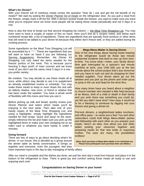#### **What's for Dinner?**

With your freezer full of nutritious meals comes the question "How do I use and get the full benefit of my meals?" We start by putting the Dinner Planner list of meals on the refrigerator door. As you pull a meal from the freezer, simply mark it off the list. With 5 dinners tucked inside the freezer, you want to make sure you track what you've enjoyed since we know most people will be eating these meals periodically and not 5 days in a row.

Now is also the time to break out that second shopping list column — the Meal Time Shopping List. You may even want to have a couple of copies of this on hand. Here you'll find all 5 recipes noted, and below each numbered recipe title, a list of ingredients. These are ingredients that are typically fresh produce or other items that will need to be added to your dinner kit because they either don't freeze well, or they are added during the cooking process.

Some ingredients on the Meal Time Shopping List will be proceeded by a "\* ". These are ingredients that you will want to have on hand if you are following our Serving Suggestions. Remember, the Dinner Kit Shopping List only listed the items needed for the freezer portion of the meal. This is because you're freezing 5 days worth of main courses and we know most of you don't eat the same meat 5 days in a row you prefer variety.

Be creative. You may decide to use these meals all at once, while others may decide to use it to supplement an already established routine or schedule. You may make these meals to keep or even share the rest with an elderly relative, new mom, or friend or relative that has been under the weather. You have a whole world of flexibility with this menu and how you use it.

Before picking up milk and bread, quickly review your Dinner Planner and select which meals you'll be enjoying in the next week. Then take one of your handy copies of the Meal Time Shopping List, and using a highlighter, simply highlight the ingredients needed for that recipe. Quick and easy! At the store, simply reference the list and make sure you pick up the highlighted items or make your own shopping list on an index card or whatever you have handy in under 5 minutes.

#### **Going forward**

There are lots of ways to go about deciding what's for dinner. In our house, this is decided as a group around the dinner table as family conversation. It brings us together and everyone, even the youngest, feel they

#### **Mega Menu-Mailer is Saving Dinner**

One of the nice things about having meals thawing in the refrigerator would be those last minute unplanned incidents that tend to rear up from timeto-time. You know what I mean, your family dinner time gets interrupted by a spouse's last minute overtime at work, your child tells you at the last minute about the school project that's due tomorrow and you have to rush out and do shopping for their needed supplies. Your dinner plans go out the window and you pick up the phone and order pizza or jump in the car and head for the drive thru.

How many times have you heard about a neighbor or church member who needed a little help because of an illness, birth of a child or death in their family and you wish there was something you could do, yet felt you didn't have time? How easy it would be to be a blessing to someone by digging into your freezer and giving a dinner kit.

Pot-luck dinners, a neighborhood ladies luncheon, and office party – to name just a few! You and other subscribers could hold Mega Menu-Mailer parties and fellowship with each other as you prepare your meals. Here's an idea, how about you and other ladies pooling your resources together and preparing meals for that new bride or expecting mother. The uses are many, the possibilities endless!

**(Note: Each purchase of Mega Menu-Mailer is for individual use. Please have participants each purchase their own Mailer.)** 

have important input in the day-to-day managing of family affairs.

After our meal is complete and the dishes are done, we pull the next day's meal from freezer and place it in the bottom of the refrigerator to thaw. There is great joy and comfort seeing those meals all ready to use and enjoying each one!

#### **Congratulations on Saving Dinner in your home!**

Copyright © 2007 Leanne Ely All Rights Reserved. May be copied for individual personal use only. If you'd like to share, please share our free menus available on the web at www.SavingDinner.com **Five for the Freezer Crock Cooker Volume 1 — Page 6 of 15**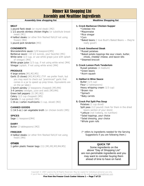### Dinner Kit Shopping List Assembly and Mealtime Ingredients

#### Assembly time shopping list **Mealtime Shopping list** Mealtime Shopping list

#### **MEAT**

- 1 pound flank steak (or round steak) [M2]
- 1 1/2 pounds skinless chicken thighs (or substitute breast meat) [M1]
- 4 halibut steaks (or other firm fleshed fish) (if not using frozen) [M4]
- 1 pound pork tenderloin [M3]

#### **CONDIMENTS**

Worcestershire sauce (1/8 teaspoon)[M5] Barbecue sauce (10 1/2 ounces, your favorite) [M1] White wine (1/3 cup, or use white grape juice with splash of vinegar) [M4] White grape juice (1/3 cup, if not using white wine) [M4] Vinegar (splash, if not using white wine) [M4]

#### **PRODUCE**

4 large onions [M1,M2,M5]

Garlic (5 cloves) [M2,M3,M5] (TIP: we prefer fresh, but you may want to check out "preminced" garlic that comes in a jar to speed up prep times. Equivalents are on the jar label.)

1 bunch parsley (2 teaspoons chopped) [M3,M4] 3-4 Lemons (wedges, juice and zest) [M3,M4] Green bell peppers (3) [M1,M2] Celery (1/2 cup chopped) [M5] Carrots (1 cup grated) [M5] 1 (8-oz.) carton mushrooms (1 cup, sliced) [M2]

#### **CANNED GOODS**

1 (14.5-oz.) can vegetable broth (or chicken broth) [M5]

#### **SPICES**

Sage (1 teaspoon)[M4]

#### **DAIRY**

Butter (2 tablespoons) [M2]

#### **FREEZER**

4 halibut steaks (or other firm fleshed fish)(if not using fresh) [M4]

#### **OTHER**

1 gallon plastic freezer bags (11) [M1,M2,M3,M4,M5]

#### **1. Crock Barbecue Chicken Supper**

- \*Coleslaw mix
- \*Mayonnaise
- \*Rice vinegar
- \*Corn

\*Baked beans (I love Bush's Baked Beans - they're really good!)

#### **2. Crock Smothered Steak**

\*Russet potatoes

\*Baked potato toppings like sour cream, butter, chives, cheddar cheese, and bacon bits \*Steamed broccoli

#### **3. Crock Lemon Pork Tenderloin**

Russet potatoes (4 medium) \*Green beans \*Acorn squash

#### **4. Halibut in Wine Sauce**

Butter (1/4 cup) Flour (2 tablespoons) Heavy whipping cream (1/3 cup) \*Brown rice \*Spinach \*Baby carrots

#### **5. Crock Pot Split Pea Soup**

Potatoes (1 cup diced) Split peas (1/2 pound) (look for them in the dried beans section of your store) \*Lettuce (not Iceberg, no nutrition) \*Salad toppings, your choice \*Salad dressing, your choice

\*Whole grain rolls

(\* refers to ingredients needed for the Serving Suggestions if you are following them.)

#### **QUICK TIP**

 Some ingredients on the above "Day of Shopping List" are non-perishable ingredients and you may want to consider buying them ahead of time to have on hand.

Copyright © 2007 Leanne Ely All Rights Reserved. May be copied for individual personal use only. If you'd like to share, please share our free menus available on the web at www.SavingDinner.com **Five from the Freezer Crock Cooker Volume 1 — Page 7 of 15**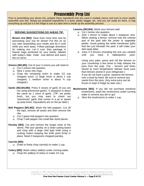### Preassembly Prep List

Prior to assembling your dinner kits, prepare these ingredients that are used in multiple menus and such to more rapidly assemble your kits. Simply put prepared ingredients in a bowl, plastic baggie, etc. until you are ready for them, or bag everything up and put it in the fridge to use at a later time to break up the assembly process.

#### **SERVING SUGGESTIONS DO AHEAD TIP:**

**Brown rice [M4]:** Save even more time now by precooking your rice for dinner! Put this on as you start assembling your meals and let it cook while you work away. Follow package directions for making rice. Let it cool, then package in freezer bags portioned for your family, labeled with today's date. Voila! Just defrost and warm thru to serve.

**Onions [M2,M5]:** Out of your 4 onions you will need to:

- □ Cut 2 onions into quarters.
- □ Slice 1 onion into rings.
- Chop the remaining onion to make 1/2 cup chopped onion. (1 large onion is about 1 cup chopped; 1 medium onion is about ¾ cup chopped.)
- **Garlic [M2,M3,M5]:** Press 5 cloves of garlic (if you are not using preminced garlic). ½ teaspoon is about the same as 1 clove of garlic. (TIP: we prefer fresh, but you may want to check out "preminced" garlic that comes in a jar to speed up prep times. Equivalents are on the jar label.)
- **Bell Peppers [M1,M2]:** Wash the bell peppers. Cut off the tops, remove all seeds and then remove the ribs.
	- □ Cut 2 green bell peppers into quarters.
	- $\Box$  Chop 1 bell pepper into small bite sized pieces
- **Parsley [M3]:** Cut and remove the longer ends of the stems. Pile your parsley on a clean cutting board and chop with a large chef type knife using a rocking motion keeping the knife point firmly in place. Need 2 teaspoons chopped parsley.

#### **Carrots [M5]:**

- Grate or finely chop carrot(s) to make 1 cup.
- **Celery [M5]:** Wash celery stalk(s) under running water.
	- $\Box$  Chop the stalk(s) of celery to make 1/2 cup.

#### **Lemons [M3,M4]:** Wash your lemons well.

- Cut 1 lemon into quarters.
- □ Zest 1 lemon to make about 1 teaspoon zest. When zesting a lemon, remove only the colored part of the peel with the zester or vegetable peeler. Avoid grating the white membrane (pith) that lies just beneath the peel; it will make your dish taste bitter.
- $\Box$  Juice 2-3 lemons (including the one you zested) until you have 6 tablespoons juice.

Using your palm, press and roll the lemons on your countertop a few times to help release the juice from the pulp. (Tip  $-$  lemons and limes stored at room temperature release more juice than lemons stored in your refrigerator.) If you do not have a juicer, squeeze the lemons over a bowl by hand. Be sure to remove any seeds from the juice. (Any extra juice can be frozen or kept in fridge for later use.)

- **Mushrooms [M2]:** If you did not purchase presliced mushrooms, wash the mushrooms under running water to remove any dirt or grit.
	- □ Slice the mushrooms to make 1 cup.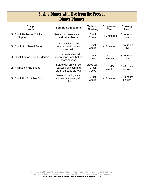### Saving Dinner with Five from the Freezer Dinner Planner

| Recipe<br><b>Name</b>            | <b>Serving Suggestions</b>                                             | Method of<br>Cooking             | <b>Preparation</b><br>Time | Cooking<br>Time         |
|----------------------------------|------------------------------------------------------------------------|----------------------------------|----------------------------|-------------------------|
| Crock Barbecue Chicken<br>Supper | Serve with coleslaw, corn<br>and baked beans.                          | Crock<br>Cooker                  | $< 5$ minutes              | 8 hours on<br>low       |
| <b>Crock Smothered Steak</b>     | Serve with baked<br>potatoes and steamed<br>broccoli.                  | Crock<br>Cooker                  | $< 5$ minutes              | 8 hours on<br>low       |
| Crock Lemon Pork Tenderloin      | Serve with sautéed<br>green beans and baked<br>acorn squash.           | Crock<br>Cooker                  | $5 - 10$<br>minutes        | 8 hours on<br>low       |
| <b>Halibut in Wine Sauce</b>     | Serve with brown rice,<br>sautéed spinach and<br>steamed baby carrots. | Stove top $+$<br>Crock<br>Cooker | $10 - 15$<br>minutes       | $5 - 6$ hours<br>on low |
| Crock Pot Split Pea Soup         | Serve with a big salad<br>and some whole grain<br>rolls.               | Crock<br>Cooker                  | $< 5$ minutes              | $6 - 8$ hours<br>on low |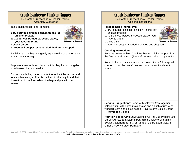### Crock Barbecue Chicken Supper

Five for the Freezer Crock Cooker Recipe 1 Assembly Guidelines

In a 1 gallon freezer bag, combine:

**1 1/2 pounds skinless chicken thighs (or chicken breasts)** 



**10 1/2 ounces bottled barbecue sauce, your favorite brand** 

**1 sliced onion** 

**1 green bell pepper, seeded, deribbed and chopped** 

Partially seal the bag and gently squeeze the bag to force out any air; seal the bag.

To prevent freezer burn, place the filled bag into a 2nd gallon sized freezer bag and seal it.

On the outside bag, label or write the recipe title/number and today's date using a Sharpie marker (it's the only brand that doesn't run in the freezer!) on the bag and place in the freezer.

### Crock Barbecue Chicken Supper

Five for the Freezer Crock Cooker Recipe 1 Cooking Instructions

#### **Preassembled Ingredients**

- 1 1/2 pounds skinless chicken thighs (or chicken breasts)
- 10 1/2 ounces bottled barbecue sauce, your favorite brand



1 sliced onion

1 green bell pepper, seeded, deribbed and chopped

#### **Cooking Instructions**

Remove preassembled Crock Barbecue Chicken Supper from the freezer and defrost. (See defrost instructions on page 4.)

Pour chicken and sauce into slow cooker. Place foil wrapped corn on top of chicken. Cover and cook on low for about 8 hours.

**Serving Suggestions**: Serve with coleslaw (mix together coleslaw mix with some mayonnaise and a dash of rice wine vinegar), corn and baked beans (I love Bush's Baked Beans — they're really good!)

**Nutrition per serving**: 262 Calories; 6g Fat; 23g Protein; 30g Carbohydrate; 3g Dietary Fiber; 81mg Cholesterol; 895mg Sodium. **Exchanges**: 1 Grain (Starch); 2 1/2 Lean Meat; 1 Other Carbohydrates. **Points**: 5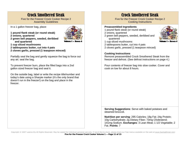### Crock Smothered Steak

Five for the Freezer Crock Cooker Recipe 2 Assembly Guidelines

In a 1 gallon freezer bag, place:

**1 pound flank steak (or round steak) 2 onions, quartered** 

**2 green bell peppers, seeded, deribbed** 



**1 cup sliced mushrooms** 

**and quartered** 

- **2 tablespoons butter, cut into 4 pats**
- **2 cloves garlic, pressed (1 teaspoon minced)**

Partially seal the bag and gently squeeze the bag to force out any air; seal the bag.

To prevent freezer burn, place the filled bags into a 2nd gallon sized freezer bag and seal it.

On the outside bag, label or write the recipe title/number and today's date using a Sharpie marker (it's the only brand that doesn't run in the freezer!) on the bag and place in the freezer.

### Crock Smothered Steak

Five for the Freezer Crock Cooker Recipe 2 Cooking Instructions

#### **Preassembled Ingredients**

- 1 pound flank steak (or round steak)
- 2 onions, quartered
- 2 green bell peppers, seeded, deribbed and quartered



- 2 tablespoons butter, cut into 4 pats
- 2 cloves garlic, pressed (1 teaspoon minced)

#### **Cooking Instructions**

Remove preassembled Crock Smothered Steak from the freezer and defrost. (See defrost instructions on page 4.)

Pour contents of freezer bag into slow cooker. Cover and cook on low for about 8 hours.

**Serving Suggestions**: Serve with baked potatoes and steamed broccoli.

**Nutrition per serving**: 295 Calories; 18g Fat; 24g Protein; 10g Carbohydrate; 2g Dietary Fiber; 73mg Cholesterol; 141mg Sodium. **Exchanges**: 3 Lean Meat; 1 1/2 Vegetable; 2 Fat. **Points**: 7

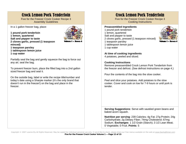### Crock Lemon Pork Tenderloin

Five for the Freezer Crock Cooker Recipe 3 Assembly Guidelines

In a 1 gallon freezer bag, place:

**1 pound pork tenderloin 1 lemon, quartered Salt and pepper to taste 2 cloves garlic, pressed (1 teaspoon minced) 1 teaspoon parsley 1 tablespoon lemon juice** 



**1 cup water** 

Partially seal the bag and gently squeeze the bag to force out any air; seal the bag.

To prevent freezer burn, place the filled bag into a 2nd gallon sized freezer bag and seal it.

On the outside bag, label or write the recipe title/number and today's date using a Sharpie marker (it's the only brand that doesn't run in the freezer!) on the bag and place in the freezer.

### Crock Lemon Pork Tenderloin

Five for the Freezer Crock Cooker Recipe 3 Cooking Instructions

#### **Preassembled Ingredients**

1 pound pork tenderloin 1 lemon, quartered Salt and pepper to taste 2 cloves garlic, pressed (1 teaspoon minced) 1 teaspoon parsley 1 tablespoon lemon juice 1 cup water



**At time of cooking ingredients** 

4 potatoes, peeled and sliced.

#### **Cooking Instructions**

Remove preassembled Crock Lemon Pork Tenderloin from the freezer and defrost. (See defrost instructions on page 4.)

Pour the contents of the bag into the slow cooker.

Peel and slice your potatoes. Add potatoes to the slow cooker. Cover and cook on low for 7-9 hours or until pork is tender.

**Serving Suggestions**: Serve with sautéed green beans and baked acorn squash.

**Nutrition per serving**: 239 Calories; 4g Fat; 27g Protein; 24g Carbohydrate; 2g Dietary Fiber; 74mg Cholesterol; 67mg Sodium. **Exchanges**: 1 1/2 Grain (Starch); 3 1/2 Lean Meat; 0 Vegetable; 0 Fruit. **Points**: 5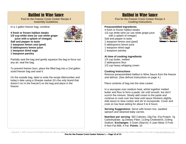### Halibut in Wine Sauce

Five for the Freezer Crock Cooker Recipe 4 Assembly Guidelines

In a 1 gallon freezer bag, combine:

**4 fresh or frozen halibut steaks 1/3 cup white wine (or use white grape juice with a splash of vinegar) Salt and pepper to taste** 



- **1 teaspoon lemon zest (peel) 5 tablespoons lemon juice**
- 
- **1 teaspoon dried sage**
- **1 teaspoon parsley**

Partially seal the bag and gently squeeze the bag to force out any air; seal the bag.

To prevent freezer burn, place the filled bag into a 2nd gallon sized freezer bag and seal it.

On the outside bag, label or write the recipe title/number and today's date using a Sharpie marker (it's the only brand that doesn't run in the freezer!) on the bag and place in the freezer.

### Halibut in Wine Sauce

Five for the Freezer Crock Cooker Recipe 4 Cooking Instructions

#### **Preassembled Ingredients**

4 fresh or frozen halibut steaks 1/3 cup white wine (or use white grape juice with a splash of vinegar) Salt and pepper to taste 1 teaspoon lemon zest (peel) 5 tablespoons lemon juice 1 teaspoon dried sage 1 teaspoon parsley



#### **At time of cooking ingredients**

1/4 cup butter, melted 2 tablespoons flour 1/3 cup heavy whipping cream

#### **Cooking Instructions**

Remove preassembled Halibut in Wine Sauce from the freezer and defrost. (See defrost instructions on page 4.)

Place contents of bag into the slow cooker.

In a saucepan over medium heat, whisk together melted butter and flour to form a paste; stir until smooth, but don't scorch the mixture. Slowly add cream to the paste and continue to cook over low heat until sauce thickens slightly. Add sauce to slow cooker and stir to incorporate. Cover and cook on low heat setting for about 5 to 6 hours.

**Serving Suggestions**: Serve with brown rice, sautéed spinach and steamed baby carrots.

**Nutrition per serving**: 392 Calories; 23g Fat; 37g Protein; 7g Carbohydrate; 1g Dietary Fiber; 113mg Cholesterol; 219mg Sodium. **Exchanges**: 0 Grain (Starch); 5 Lean Meat; 0 Fruit; 0 Non-Fat Milk; 4 Fat. **Points**: 10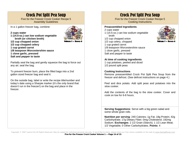### Crock Pot Split Pea Soup

Five for the Freezer Crock Cooker Recipe 5 Assembly Guidelines

In a 1 gallon freezer bag, combine:

**broth (or chicken broth)** 

**1/2 cup chopped onion** 

#### **2 cups water 1 (14.5-oz.) can low sodium vegetable**



**1/2 cup chopped celery 1 cup grated carrot 1/8 teaspoon Worcestershire sauce 1 clove garlic, pressed** 

**Salt and pepper to taste** 

Partially seal the bag and gently squeeze the bag to force out any air; seal the bag.

To prevent freezer burn, place the filled bags into a 2nd gallon sized freezer bag and seal it.

On the outside bag, label or write the recipe title/number and today's date using a Sharpie marker (it's the only brand that doesn't run in the freezer!) on the bag and place in the freezer.

### Crock Pot Split Pea Soup

Five for the Freezer Crock Cooker Recipe 5 Cooking Instructions

#### **Preassembled Ingredients**

2 cups water 1 (14.5-oz.) can low sodium vegetable broth 1/2 cup chopped onion 1/2 cup celery, chopped 1 cup grated carrot 1/8 teaspoon Worcestershire sauce 1 clove garlic, pressed Salt and pepper to taste



**At time of cooking ingredients** 

1 cup potatoes, peeled and diced 1/2 pound split peas

#### **Cooking Instructions**

Remove preassembled Crock Pot Split Pea Soup from the freezer and defrost. (See defrost instructions on page 4.)

Peel and dice potato. Add split peas and potatoes into the slow cooker.

Add the contents of the bag to the slow cooker. Cover and cook on low for 6-8 hours.

**Serving Suggestions**: Serve with a big green salad and some whole grain rolls.

**Nutrition per serving**: 240 Calories; 1g Fat; 18g Protein; 42g Carbohydrate; 17g Dietary Fiber; 0mg Cholesterol; 192mg Sodium. **Exchanges**: 2 1/2 Grain (Starch); 1 1/2 Lean Meat; 1/2 Vegetable; 0 Other Carbohydrates. **Points**: 4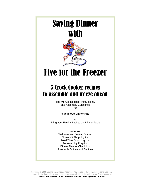## Saving Dinner with



## Five for the Freezer

### 5 Crock Cooker recipes to assemble and freeze ahead

The Menus, Recipes, Instructions, and Assembly Guidelines for

#### **5 delicious Dinner Kits**

to Bring your Family Back to the Dinner Table

#### **Includes:**

Welcome and Getting Started Dinner Kit Shopping List Meal Time Shopping List Preassembly Prep List Dinner Planner Check List Assembly Guides and Recipes

Copyright © 2008 Leanne Ely All Rights Reserved. May be copied for individual personal use only. If you'd like to share, please share our free menus available on the web at www.SavingDinner.com **Five for the Freezer – Crock Cooker - Volume 2 (last updated 10/7/08)**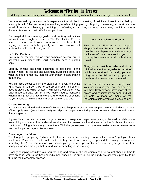### Welcome to "Five for the Freezer"

#### Making nutritious meals you've always wanted for your family without the last minute guesswork or hassles.

You are embarking on a wonderful experience that will lead to creating 5 delicious dinner kits that help you accomplish all of the prep work (non-cooking work!) – dicing, peeling, chopping, measuring, etc. – at one time, for all of the dinners, leaving you nothing but defrosting and cooking up the quick and easy kits into wonderful dinners. Anyone can do it! We'll show you how!

Our easy-to-follow assembly guides and cooking instructions will walk you through the process. The Five for the Freezer series of menus is designed to maximize the benefits of buying one meat in bulk, typically at a cost savings and making it up into lots of handy meals.

#### **Let's Get Printing**

You may be reading this on your computer screen, but to assemble your dinner kits, you'll definitely need a printed copy.

Start by printing this entire document or just scroll to the pages where the recipes and assembly guidelines start, see what the page number is, then tell your printer to start printing from there.

You can also select to print the pages all in black and white (gray scale) if you don't like to use up your color ink or only have a black and white printer. It will look great either way. Draft mode will save on ink if you really need to conserve when printing, but this may make it hard to read the directions so you'll have to take the trial and error route on that one.

#### **Let's talk Dollars and Cents**

Five for the Freezer is a bargain shopper's dream! Have you ever walked past the meat department and seen huge packages of meat on sale but you just didn't quite know what to do with all that meat?

Now, you can watch for sales and with a minimal amount of ingredients (most of which can be stored on hand!), you can bring home the fish and whip up a few meals for the freezer in no time at all!

As with all of our menus, always start your shopping in your own pantry. You will most likely already have most of the spices and condiments on hand and will be able to mark off many of the ingredients before you even leave home!

#### **Off and Running**

Instructions are printed and you're off! To help you keep track of your new recipes, take a quick dash past your office supply stash (we all have one!) and slip your pages into a 3 ring binder for easy reference and to keep things organized.

A great idea is to use the plastic page protectors to keep your pages from getting splattered on while you're assembling your dinner kits. It also allows the use of a grease pencil or dry erase marker for those of you who like to mark off ingredients as you use them. With the grease pencil or dry erase marker you can always come back and wipe the page protector clean.

#### **Once begun, half done**

The thought of preparing 5 dinners all at once may seem daunting! Hang in there – we'll get you thru it painlessly. Remember, foods taste better if they are frozen fresh (as opposed to cooking, thawing and reheating them). For this reason, you should plan your meal preparations as soon as you get home from shopping, or shop the night before and start assembling in the morning.

Grocery shopping shouldn't take you too long and many of the ingredients can be bought ahead of time to have on hand, waiting for those periodic meat specials. Be sure to use the handy pre assembly prep list to zip thru the meal assembly process.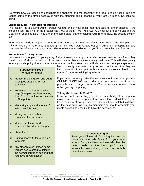No matter how you decide to coordinate the shopping and the assembly, the idea is to be hassle free and reduce some of the stress associated with the planning and preparing of your family's meals. So, let's get going!

#### **Shopping Lists – Your plan for success**

This couldn't be a Saving Dinner product without one of your most important tools to dinner success – the shopping list! And Five for the Freezer has TWO of them! Two? Yes, two! A Dinner Kit Shopping List and the Meal Time Shopping List. They are on the same page, but one column you'll refer to now, the second column later.

When you're ready to enjoy the fruits of your labors, you'll want to refer to your Meal Time Shopping List column. (We'll talk more about that later!) For now, you'll want to take out your Dinner Kit Shopping List and look over the left column to get started. This one has the ingredients that you'll be assembling and freezing.

#### **Home Sweet Grocery Store**

Let's start by "shopping" in your pantry, fridge, freezer, and cupboards. Our freezer meal testers found they could cross off almost two-thirds of the items needed because they already had them. This will also greatly reduce your shopping time and the payout at the checkout stand. You will also want to check your spices and

#### **Supplies and Tools to have on hand:**

- Freezer bags in gallon and quart sizes (see shopping list for quantities)
- **Permanent marker for labeling** bags (Sharpies are best as they don't "run" in the freezer. (Narrow or Fine point)
- □ Measuring cups and spoons (2 sets of each is best!)
- Mixing bowls and other containers for preparation
- □ Manual or electric food processor, blender or chopper
- □ Sharp knives
- Cutting boards (1 for veggies, 1 for meats)
- Any other related kitchen items you are accustomed to using in the normal course of cooking that you have in your kitchen.

herbs to verify you have plenty for each recipe and that they are fresh. Now, It's time to put on those lace up shoes and head to the market for your remaining ingredients.

If you want to really take the easy way out, use your grocer's ONLINE SHOPPING and order your food ahead so it arrives perfectly timed to begin assembly. (See our web site for more about online grocery shopping.)

#### **Taking the Leisurely Route?**

If you are not assembling your dinner kits shortly after shopping, make sure that you properly store frozen foods (don't freeze your fresh meats yet!) and perishables. See our Food Safety Guidelines on the next page for tips!) Remember: You should assemble your meals as soon as possible to have the best results.

#### **Money Saving Tip**

Take your Dinner Kit Shopping List and sit down with the sale flyers from your local stores. Compare flyers and see who has the better deals on the items you'll need, especially meats that you can buy in bulk quantities on sale.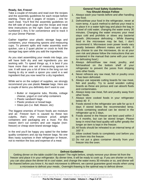#### **Ready, Set, Freeze!**

Take a couple of minutes and read over the recipes and the assembly guidelines for each recipe before starting. There are 5 pages of recipes – one for each meal. You'll find the assembly guidelines on the left side of each page and the recipe and meal time instructions on the right. Each recipe is also numbered 1 thru 5 for convenience and to track it on your Dinner Planner.

Gather together your plastic storage bags and containers, your measuring spoons and measuring cups. To prevent spills and make assembly even quicker, use a 2 quart pitcher or crock to hold the storage bag open while you add the ingredients.

As you start assembling your meals into bags, you will have both dry and wet ingredients you are working with. To speed things up, it is best if you have more than one set of measuring spoons in use. It will save you a lot of time in the long run not having to dry or wash a spoon you used in a wet ingredient that you now need for a dry ingredient.

While we're on the subject of supplies, we strongly recommend you use plastic **freezer** bags. Here are a couple of items you definitely don't want to use:

- Butter or margarine tubs, Ricotta, cottage cheese, yogurt or cool whip containers
- Plastic sandwich bags
- Plastic produce or bread bags
- Glass jars (i.e. Ball, Mason, etc)

The biggest enemies of frozen foods are moisture and air. Freezer burn is caused by these two culprits, that's why moisture proof, airtight containers and packaging are a must. For this reason don't cut corners and use regular (nonfreezer) or cheap store brand storage bags.

In the end you'll be happy you opted for the better quality containers and zip top freezer bags. No one likes nasty surprises in their refrigerator or freezer, not to mention the loss and expense of a meal.

#### **General Food Safety Guidelines You Should Always Follow**

- 1. Always wash your hands before and after handling raw food.
- 2. Defrost/thaw your food in the refrigerator, never at room temp. A quick method to defrost your meal is to place it in a water tight bag and place the bag in a bowl of cold water, changing the water every 30 minutes. Changing the water ensures your meal stays cold and prohibits or slows any bacterial growth. (Microwave defrosting - While thawing food in the microwave may be fast, I don't recommend it. Microwave oven power levels vary greatly between different makes and models. If you choose to use the microwave, do so at your own risk and please follow the instructions that are contained in the manual that came with your oven for defrosting food.)
- 3. Always defrost/thaw raw meat, poultry, and fish/seafood on the bottom shelf of your refrigerator to prevent the juices from dripping onto other foods.
- 4. Never refreeze any raw meat, fish or poultry once it has been defrosted.
- 5. Always use separate cutting boards for raw meat, fish and poultry. Try to avoid wooden cutting boards as these are porous and can absorb fluids and contaminates.
- 6. Always keep raw meat, fish and poultry away from other foods.
- 7. Always store cooked foods in your refrigerator below 40 F.
- 8. Foods stored in the refrigerator are safe for up to 4 days if stored below the recommended temp. Foods containing seafood can be stored in the refrigerator up to 2 days.
- 9. Foods stored in the freezer are best used within 2 to 4 months, but can be stored longer. Please keep in mind that food quality will suffer greatly the longer an item is kept in the freezer.
- 10. All foods should be reheated to an internal temp of 165° F.
- 11. Allow cooked foods to completely cool before you put them into the freezer.
- 12. Do not put a glass container directly from your freezer into the oven.

#### **Defrost Guidelines**

Getting dinner on the table couldn't be easier! The night before, simply remove your dinner kit from the freezer and place it in your refrigerator. By dinner time, it will be ready to cook up. If you are shorter on time, you can also place the dinner kit in cool water, and change the water every 30 minutes or so, and dinner will be thawed before you know it. As each microwave is different, we cannot guarantee good results when using a microwave to defrost your meals.. Overnight thawing is the optimal way to defrost dinner.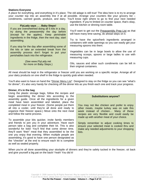#### **Stations Everyone**

A place for everything, and everything in it's place. The old adage is still true! The idea here is to try to arrange your counter top into an assembly line if at all possible. Arrange your counters like your grocery list – condiments, canned goods, produce, and dairy. You'll know right where to go to find your next needed

#### **FlyLady says . . . Baby Steps!**

If you are overwhelmed doing all 5 kits in a day, try doing the preassembly the day before (except for the apples). Keep perishable ingredients in the fridge, then the next day, start assembling.

If you stop for the day after assembling some of the kits or take an extended break from the assembly process don't forget to put your perishables back into the refrigerator.

> (See www.FlyLady.net for more on Baby Steps.)

ingredient. If you're limited on counter space, that's okay, use the kitchen or dinning room table.

You'll want to get out the Preassembly Prep List as that will have many time saving, do ahead steps on it.

Try to have the spice/herb ingredients arranged in containers with wide openings so you can easily get your measuring spoons into them.

Vegetables can be in large bowls to allow the use of measuring scoops, spoons or large ladles to use with measuring cups.

Oils, sauces and other such condiments can be left in their original containers.

All meat should be kept in the refrigerator or freezer until you are working on a specific recipe. Arrange all of your dairy products on one shelf in the fridge to quickly grab when needed.

You'll also want to have on hand the "Dinner Menu List". Designed to stay on the fridge so you can see "what's for dinner", it's also very handy for checking off the dinner kits as you finish each one and track your progress.

#### **Dinner, it's in the bag**

Using the plastic storage bags, follow the recipes and begin assembling the dinner kits according to the assembly guide. Once all the ingredients for a given meal have been assembled and labeled, place the completed meal in your freezer. (Some people put them all into a cooler, until they're all done and ready to organize their freezer space.) Move onto the next meal and follow the same process.

To assemble your kits quicker, invite family members and friends to join you in your adventure. Have each person take a bag and complete their kit. This is also wonderful for kids! You'll find that come dinner time, they'll want "their" meal that they assembled to be the one you enjoy that evening. When multiple people are assembling, it's good to have one person designated as the "checker" at the end to ensure each kit is complete as well as sealed properly.

#### **Substitutions anyone?**

You may not like chicken and prefer to enjoy other meats, maybe turkey was on sale this week instead of chicken… Many of these recipes are very flexible and could easily be made up with another meat of your choice.

Simply remember to adjust cooking times to ensure your selected meat is cooked thru and make any needed adjustments to your shopping lists.

When you're all done assembling your stockpile of dinners and they're safely tucked in the freezer, sit back and give yourself a big pat on the back! Yeah! You did it!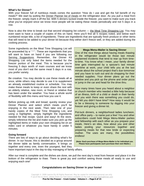#### **What's for Dinner?**

With your freezer full of nutritious meals comes the question "How do I use and get the full benefit of my meals?" We start by putting the Dinner Planner list of meals on the refrigerator door. As you pull a meal from the freezer, simply mark it off the list. With 5 dinners tucked inside the freezer, you want to make sure you track what you've enjoyed since we know most people will be eating these meals periodically and not 5 days in a row.

Now is also the time to break out that second shopping list column — the Meal Time Shopping List. You may even want to have a couple of copies of this on hand. Here you'll find all 5 recipes noted, and below each numbered recipe title, a list of ingredients. These are ingredients that are typically fresh produce or other items that will need to be added to your dinner kit because they either don't freeze well, or they are added during the cooking process.

Some ingredients on the Meal Time Shopping List will be proceeded by a "\* ". These are ingredients that you will want to have on hand if you are following our Serving Suggestions. Remember, the Dinner Kit Shopping List only listed the items needed for the freezer portion of the meal. This is because you're freezing 5 days worth of main courses and we know most of you don't eat the same meat 5 days in a row, you prefer variety.

Be creative. You may decide to use these meals all at once, while others may decide to use it to supplement an already established routine or schedule. You may make these meals to keep or even share the rest with an elderly relative, new mom, or friend or relative that has been under the weather. You have a whole world of flexibility with this menu and how you use it.

Before picking up milk and bread, quickly review your Dinner Planner and select which meals you'll be enjoying in the next week. Then take one of your handy copies of the Meal Time Shopping List, and using a highlighter, simply highlight the ingredients needed for that recipe. Quick and easy! At the store, simply reference the list and make sure you pick up the highlighted items or make your own shopping list on an index card or whatever you have handy in under 5 minutes.

#### **Going forward**

There are lots of ways to go about deciding what's for dinner. In our house, this is decided as a group around the dinner table as family conversation. It brings us together and every one, even the youngest, feel they

#### **Mega Menu-Mailer is Saving Dinner**

One of the nice things about having meals thawing in the refrigerator would be those last minute unplanned incidents that tend to rear up from timeto-time. You know what I mean, your family dinner time gets interrupted by a spouse's last minute overtime at work, your child tells you at the last minute about the school project that's due tomorrow and you have to rush out and do shopping for their needed supplies. Your dinner plans go out the window and you pick up the phone and order pizza or jump in the car and head for the drive thru.

How many times have you heard about a neighbor or church member who needed a little help because of an illness, birth of a child or death in their family and you wish there was something you could do, yet felt you didn't have time? How easy it would be to be a blessing to someone by digging into your freezer and giving a dinner kit.

Pot-luck dinners, a neighborhood ladies luncheon, and office party – to name just a few! You and other subscribers could hold Mega Menu-Mailer parties and fellowship with each other as you prepare your meals. Here's an idea, how about you and other ladies pooling your resources together and preparing meals for that new bride or expecting mother. The uses are many, the possibilities endless!

**(Note: Each purchase of Mega Menu-Mailer is for individual use. Please have participants each purchase their own Mailer.)** 

have important input in the day-to-day managing of family affairs.

After our meal is complete and the dishes are done, we pull the next day's meal from freezer and place it in the bottom of the refrigerator to thaw. There is great joy and comfort seeing those meals all ready to use and enjoying each one!

#### **Congratulations on Saving Dinner in your home!**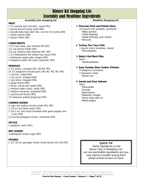### Dinner Kit Shopping List Assembly and Mealtime Ingredients

| ASSUMBIT QUALITE FORMATION RESERVANCE                                                                                                                                                                                                                                                                                                                                                                                                                                                                                                                                                                                                        |                                                                                                                                                                                                                                                                                                      |  |  |  |  |  |  |
|----------------------------------------------------------------------------------------------------------------------------------------------------------------------------------------------------------------------------------------------------------------------------------------------------------------------------------------------------------------------------------------------------------------------------------------------------------------------------------------------------------------------------------------------------------------------------------------------------------------------------------------------|------------------------------------------------------------------------------------------------------------------------------------------------------------------------------------------------------------------------------------------------------------------------------------------------------|--|--|--|--|--|--|
| <b>Assembly time shopping list</b>                                                                                                                                                                                                                                                                                                                                                                                                                                                                                                                                                                                                           | <b>Mealtime Shopping list</b>                                                                                                                                                                                                                                                                        |  |  |  |  |  |  |
| <b>MEAT</b><br>1 1/2 pounds pork shoulder, cubed [M1]<br>1 pound ground turkey meat [M2]<br>2 pounds baby back beef ribs, cut into 4-6 inches [M3]<br>1 whole chicken [M4]<br>4 salmon fillets [M5]<br><b>CONDIMENTS</b><br>1 2/3 cups salsa, your favorite [M1,M2]<br>1/2 cup peanut butter [M1]<br>1/4 cup Catalina style dressing [M3, M5]<br>1 2/3 tablespoons low sodium soy sauce [M3]<br>1 tablespoon apple cider vinegar [M5]<br>2 teaspoons Asian fish sauce (optional) [M5]                                                                                                                                                        | 1. Peruvian Pork and Potato Stew<br>2/3 pound new potatoes, quartered<br>*Baby spinach<br>*Salad toppings<br>*Salad dressing, your choice<br>*Broccoli<br>2. Turkey Tico Taco Chili<br>1 pound cherry tomatoes, halved<br>*Red potatoes<br>3. Baby's Got Back Ribs<br><b>None</b><br>*Sweet potatoes |  |  |  |  |  |  |
| <b>PRODUCE</b><br>3 1/2 onions, chopped [M1, M2, M4, M5]<br>10 1/2 teaspoons minced garlic [M1, M2, M3, M4, M5]<br>1 zucchini, cubed [M2]<br>1 cup carrot, chopped [M4]<br>1 cup celery, chopped [M4]<br>3 sprigs thyme [M4]<br>1 lemon, juiced and zested [M4]<br>2 medium stalks celery, sliced [M5]<br>2 medium tomatoes, quartered [M5]<br>1 cup broccoli florets [M5]<br>1/2 teaspoon grated gingerroot [M5]<br><b>CANNED GOODS</b><br>5 cups, low sodium chicken broth [M1, M5]<br>1 (15 oz) can black beans [M2]<br>2 (14.5 oz) cans diced tomatoes with green pepper and<br>onion [M3]<br>13 ounces pineapple chunks, undrained [M5] | 4. Easy Sunday Slow Cooker Chicken<br>4 teaspoons cornstarch<br>2 teaspoons water<br>*Brown rice<br>5. Sweet and Sour Salmon<br><b>None</b><br>*Mozzarella<br>*Tomato<br>*Basil leaves<br>*Balsamic Vinegar<br>*Extra virgin olive oil<br>*Black pepper                                              |  |  |  |  |  |  |
| <b>SPICES</b><br>1 teaspoon cumin [M2]                                                                                                                                                                                                                                                                                                                                                                                                                                                                                                                                                                                                       |                                                                                                                                                                                                                                                                                                      |  |  |  |  |  |  |
| <b>DRY GOODS</b><br>3 tablespoon brown sugar [M5]                                                                                                                                                                                                                                                                                                                                                                                                                                                                                                                                                                                            |                                                                                                                                                                                                                                                                                                      |  |  |  |  |  |  |
| <b>FROZEN</b><br>2 1/2 (10 oz) packages frozen whole kernel corn [M1, M2]                                                                                                                                                                                                                                                                                                                                                                                                                                                                                                                                                                    | <b>QUICK TIP</b><br>Some ingredients on the<br>above "Day of Shopping List"<br>are non-perishable ingredients and you<br>may want to consider buying them<br>ahead of time to have on hand.                                                                                                          |  |  |  |  |  |  |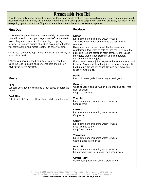### Preassembly Prep List

Prior to assembling your dinner kits, prepare these ingredients that are used in multiple menus and such to more rapidly assemble your kits. Simply put prepared ingredients in a bowl, plastic baggie, etc. until you are ready for them, or bag everything up and put it in the fridge to use at a later time to break up the assembly process.

#### **First Day**

\*\* Remember you will need to read carefully the assembly instructions and process your vegetables before you start assembling your meals. All of your slicing, chopping, mincing, juicing and grating should be accomplished before you start putting your meals together to save you time.

\*\* All meat should be kept in the refrigerator until ready to assemble a meal.

\*\*Once you have prepped your items you will need to place the food in plastic bags or containers and place in your refrigerator overnight.

#### **Meats**

#### **Pork**

Cut pork shoulder into them into 1 inch cubes or purchase cubed.

#### **Beef Ribs**

Cut ribs into 4-6 inch lengths or have butcher cut for you.

#### **Produce**

#### **Lemon**

Rinse lemon under running water to wash. Zest yellow part of lemon only into a small bowl or container.

Using your palm, press and roll the lemon on your countertop a few times to help release the juice from the pulp. (Tip- lemons stored at room temperature release more juice than orange stored in your refrigerator.) Cut lemon in half and juice.

If you do not have a juicer, squeeze the lemon over a bowl by hand. Cover and store the juice (or transfer to a plastic bag) in a plastic bag overnight. Be sure to remove any seeds from the juice.

#### **Garlic**

Press 21 cloves garlic if not using minced garlic.

#### **Onions**

White or yellow onions: Cut off both ends and peel first layer of onions. Chop 3 1/2 onions.

#### **Zucchini**

Rinse lemon under running water to wash. Chop zucchini.

#### **Carrots**

Rinse lemon under running water to wash. Chop carrot.

#### **Celery**

Rinse lemon under running water to wash. Slice two ribs celery Chop 1 cup celery

#### **Tomatoes**

Rinse lemon under running water to wash. Cut tomatoes into fourths.

#### **Broccoli**

Rinse lemon under running water to wash. Roughly chop broccoli into golf ball sized pieces

#### **Ginger Root**

Gently peel ginger with spoon. Grate ginger.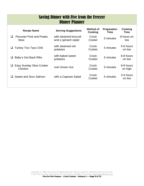### Saving Dinner with Five from the Freezer Dinner Planner

| <b>Recipe Name</b>                             | <b>Serving Suggestions</b>                   | Method of<br>Cooking | <b>Preparation</b><br>Time | Cooking<br>Time      |
|------------------------------------------------|----------------------------------------------|----------------------|----------------------------|----------------------|
| Peruvian Pork and Potato<br><b>Stew</b>        | with steamed broccoli<br>and a spinach salad | Crock<br>Cooker      | 5 minutes                  | 8 hours on<br>low    |
| <b>Turkey Tico Taco Chili</b><br>⊔             | with steamed red<br>potatoes                 | Crock<br>Cooker      | 5 minutes                  | 5-6 hours<br>on low  |
| Baby's Got Back Ribs<br>⊔                      | with baked sweet<br>potatoes                 | Crock<br>Cooker      | 5 minutes                  | 6-8 hours<br>on low  |
| <b>Easy Sunday Slow Cooker</b><br>⊔<br>Chicken | over brown rice                              | Crock<br>Cooker      | 5 minutes                  | 8-9 hours<br>on high |
| Sweet and Sour Salmon                          | with a Caprese Salad                         | Crock<br>Cooker      | 5 minutes                  | 3-4 hours<br>on low  |
|                                                |                                              |                      |                            |                      |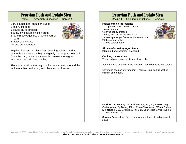### Peruvian Pork and Potato Stew

Recipe 1 — Assembly Guidelines — Serves 4

- 1 1/2 pounds pork shoulder, cubed
- 1 onion, chopped
- 6 cloves garlic, pressed
- 4 cups, low sodium chicken broth
- 2 (10 oz) packages frozen whole kernel corn



- 2 tablespoons salsa
- 1/2 cup peanut butter

In gallon freezer bag place first seven ingredients (pork to peanut butter). Seal the bag and gently massage to coat pork. Open the bag; gently and carefully squeeze the bag to remove excess air. Seal the bag.

Place your label on the bag or write the name & date and the recipe number on the bag and place in your freezer.

### Peruvian Pork and Potato Stew

Recipe 1 — Cooking Instructions — Serves 4

#### **Preassembled Ingredients**

1 1/2 pounds pork shoulder, cubed 1 onion, chopped 6 cloves garlic, pressed 4 cups, low sodium chicken broth 2 (10 oz) packages frozen whole kernel corn 2 tablespoons salsa 1/2 cup peanut butter



**At time of cooking ingredients** 

2/3 pound new potatoes, quartered

**Cooking Instructions**  Thaw and place ingredients into slow cooker.

Add quartered potatoes to slow cooker. Stir to combine ingredients.

Cover and cook on low for about 8 hours or until pork is cooked through and tender.

**Nutrition per serving**: 697 Calories; 40g Fat; 46g Protein; 44g Carbohydrate; 6g Dietary Fiber; 91mg Cholesterol; 795mg Sodium. **Exchanges**: 2 1/2 Grain (Starch); 5 1/2 Lean Meat; 1 Vegetable; 5 1/2 Fat. **Points**: 16

**Serving Suggestion:** Serve with steamed broccoli and a spinach salad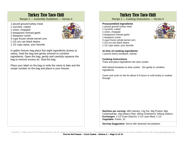### Turkey Tico Taco Chili

Recipe 2 — Assembly Guidelines — Serves 4

- 1 pound ground turkey meat
- 1 zucchini, cubed
- 1 onion, chopped
- 2 teaspoons minced garlic



- 1 teaspoon cumin
- 3 cups frozen whole kernel corn
- 1 (15 oz) can black beans
- 1 1/2 cups salsa, your favorite

In gallon freezer bag place first eight ingredients (turkey to salsa). Seal the bag and gently smoosh to combine ingredients. Open the bag; gently and carefully squeeze the bag to remove excess air. Seal the bag.

Place your label on the bag or write the name & date and the recipe number on the bag and place in your freezer.

### Turkey Tico Taco Chili

Recipe 2 — Cooking Instructions — Serves 4

#### **Preassembled Ingredients**

- 1 pound ground turkey meat
- 1 zucchini, cubed
- 1 onion, chopped
- 2 teaspoons minced garlic
- 1 teaspoon cumin
- 3 cups frozen whole kernel corn
- 1 (15 oz) can black beans
- 1 1/2 cups salsa, your favorite

#### **At time of cooking ingredients**

1 pound cherry tomatoes, halved

#### **Cooking Instructions**

Thaw and place ingredients into slow cooker.

Add halved tomatoes to slow cooker. Stir gently to combine ingredients.

Cover and cook on low for about 5-6 hours or until turkey is cooked through.

**Nutrition per serving**: 488 Calories; 12g Fat; 36g Protein; 66g Carbohydrate; 16g Dietary Fiber; 90mg Cholesterol; 546mg Sodium. **Exchanges**: 3 1/2 Grain (Starch); 3 1/2 Lean Meat; 2 1/2 **Vegetable**. Points: 10

**Serving Suggestion:** Serve with steamed red potatoes

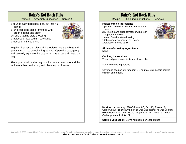### Baby's Got Back Ribs

Recipe 3 — Assembly Guidelines — Serves 4

- 2 pounds baby back beef ribs, cut into 4-6 inches
- 2 (14.5 oz) cans diced tomatoes with green pepper and onion



1/4 cup Catalina style dressing

1 tablespoon low sodium soy sauce

1 teaspoon minced garlic

In gallon freezer bag place all ingredients. Seal the bag and gently smoosh to combine ingredients. Open the bag; gently and carefully squeeze the bag to remove excess air. Seal the bag.

Place your label on the bag or write the name & date and the recipe number on the bag and place in your freezer.

### Baby's Got Back Ribs

Recipe 3 — Cooking Instructions — Serves 4

#### **Preassembled Ingredients**

- 2 pounds baby back beef ribs, cut into 4-6 inches
- 2 (14.5 oz) cans diced tomatoes with green pepper and onion
- 1/4 cup Catalina style dressing
- 1 tablespoon low sodium soy sauce
- 1 teaspoon minced garlic

**At time of cooking ingredients**  None

#### **Cooking Instructions**

Thaw and place ingredients into slow cooker.

Stir to combine ingredients.

Cover and cook on low for about 6-8 hours or until beef is cooked through and tender.

**Nutrition per serving**: 798 Calories; 67g Fat; 38g Protein; 9g Carbohydrate; 1g Dietary Fiber; 161mg Cholesterol; 486mg Sodium. **Exchanges**: 5 1/2 Lean Meat; 1 Vegetable; 10 1/2 Fat; 1/2 Other Carbohydrates. **Points**: 21

**Serving Suggestion:** Serve with baked sweet potatoes

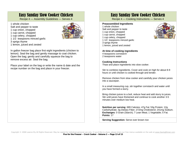### Easy Sunday Slow Cooker Chicken

Recipe 4 — Assembly Guidelines — Serves 4

1 whole chicken Salt and pepper to taste 1 cup onion, chopped 1 cup carrot, chopped 1 cup celery, chopped 1 1/2 teaspoons minced garlic 3 sprigs thyme 1 lemon, juiced and zested



In gallon freezer bag place first eight ingredients (chicken to lemon). Seal the bag and gently massage to coat chicken. Open the bag; gently and carefully squeeze the bag to remove excess air. Seal the bag.

Place your label on the bag or write the name & date and the recipe number on the bag and place in your freezer.

### Easy Sunday Slow Cooker Chicken

Recipe 4 — Cooking Instructions — Serves 4

#### **Preassembled Ingredients**

1 whole chicken Salt and pepper to taste 1 cup onion, chopped 1 cup carrot, chopped 1 cup celery, chopped 1 1/2 teaspoons minced garlic 3 sprigs thyme 1 lemon, juiced and zested

**At time of cooking ingredients**  4 teaspoons cornstarch

2 teaspoons water

#### **Cooking Instructions**

Thaw and place ingredients into slow cooker.

Stir to combine ingredients. Cover and cook on high for about 8-9 hours or until chicken is cooked through and tender.

Remove chicken from slow cooker and carefully pour chicken juices into a saucepan.

In a small measuring cup, stir together cornstarch and water until you have formed a slurry.

Bring chicken juices to a boil, reduce heat and add slurry to juices. Stir until juices have thickened and continue to cook another 3-5 minutes over medium low heat.

**Nutrition per serving**: 689 Calories; 47g Fat; 53g Protein; 12g Carbohydrate; 3g Dietary Fiber; 272mg Cholesterol; 241mg Sodium. **Exchanges**: 0 Grain (Starch); 7 Lean Meat; 1 Vegetable; 5 Fat. **Points**: 17

**Serving Suggestion:** Serve over brown rice

Copyright © 2008 Leanne Ely All Rights Reserved. May be copied for individual personal use only. If you'd like to share, please share our free menus available on the web at www.SavingDinner.com **Five for the Freezer – Crock Cooker - Volume 2 — Page 13 of 15**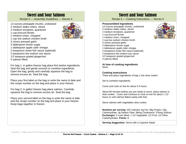### Sweet and Sour Salmon

Recipe 5 — Assembly Guidelines — Serves 4

- 13 ounces pineapple chunks, undrained
- 2 medium stalks celery, sliced 2 medium tomatoes, quartered
- 1 cup broccoli florets
- 1 medium onion, chopped
- 1 cup low sodium chicken broth
- 3 cloves pressed garlic
- 3 tablespoon brown sugar
- 1 tablespoon apple cider vinegar
- 2 teaspoons Asian fish sauce (optional)
- 2 teaspoons low sodium soy sauce
- 1/2 teaspoon grated gingerroot
- 4 salmon fillets

For bag 1, in gallon freezer bag place first twelve ingredients. Seal the bag and gently smoosh to combine ingredients. Open the bag; gently and carefully squeeze the bag to remove excess air. Seal the bag.

Place your first label on the bag or write the name & date and the recipe number on the bag and place in your freezer.

For bag 2, in gallon freezer bag place salmon. Carefully squeeze the bag to remove excess air. Seal the bag.

Place your second label on the bag or write the name & date and the recipe number on the bag and place in your freezer. Keep bags together in freezer.

### Sweet and Sour Salmon

Recipe 5 — Cooking Instructions — Serves 4

#### **Preassembled Ingredients**

- 13 ounces pineapple chunks, undrained
- 2 medium stalks celery, sliced
- 2 medium tomatoes, quartered
- 1 cup broccoli florets 1 medium onion, chopped
- 1 cup low sodium chicken broth
- 3 cloves pressed garlic
- 3 tablespoon brown sugar
- 1 tablespoon apple cider vinegar
- 2 teaspoons Asian fish sauce (optional)
- 2 teaspoons low sodium soy sauce
- 1/2 teaspoon grated gingerroot
- 4 salmon fillets

**At time of cooking ingredients**  None

#### **Cooking Instructions**  Thaw and place ingredients of bag 1 into slow cooker.

Stir to combine ingredients.

Cover and cook on low for about 3-4 hours.

About 90 minutes before you are ready to serve, place salmon in slow cooker. Cover and continue to cook on low for about 1 1/2 hours or until salmon flakes easily with fork.

Serve salmon with vegetables slow cooker.

**Nutrition per serving**: 302 Calories; 6g Fat; 39g Protein; 23g Carbohydrate; 3g Dietary Fiber; 88mg Cholesterol; 376mg Sodium. **Exchanges**: 5 Lean Meat; 1 1/2 Vegetable; 1/2 Fruit; 1/2 Other Carbohydrates. **Points**: 6

**Serving Suggestion:** Serve with a Caprese Salad

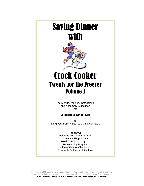## Saving Dinner with



## Crock Cooker Twenty for the Freezer Volume 1

The Menus,Recipes, Instructions, and Assembly Guidelines for

#### **20 delicious Dinner Kits**

to Bring your Family Back to the Dinner Table

> **Includes:**  Welcome and Getting Started Dinner Kit Shopping List Meal Time Shopping List Preassembly Prep List Dinner Planner Check List Assembly Guides and Recipes

Copyright © 2008 Leanne Ely All Rights Reserved. May be copied for individual personal use only. If you'd like to share, please share our free menus available on the web at www.SavingDinner.com **Crock Cooker Twenty for the Freezer - Volume 1 (last updated 11/28/08)**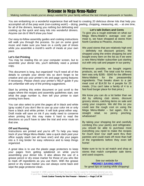### Welcome to Mega Menu-Mailer

#### Making nutritious meals you've always wanted for your family without the last minute guesswork or hassles.

You are embarking on a wonderful experience that will lead to creating 20 delicious dinner kits that help you accomplish all of the prep work (non-cooking work!) – dicing, peeling, chopping, measuring, etc. – at one time,

for all of the dinners, leaving you nothing but defrosting and cooking up the quick and easy kits into wonderful dinners. Anyone can do it! We'll show you how!

Our easy-to-follow assembly guides and cooking instructions will walk you through the process. So put on some good music and make sure you have on a comfy pair of shoes while you assemble a month's worth of meals at your own pace.

#### **Let's Get Printing**

You may be reading this on your computer screen, but to assemble your dinner kits, you'll definitely need a printed copy.

This document is long, but organized! You'll need all of the details to compile your dinner kits so don't forget to be creative and use your printer's ink and page saving features if necessary. Please check your printer's HELP guide if you are unfamiliar with any of the printing suggestions.

Start by printing this entire document or just scroll to the pages where the recipes and assembly guidelines start, see what the page number is, then tell your printer to start printing from there.

You can also select to print the pages all in black and white (gray scale) if you don't like to use up your color ink or only have a black and white printer. It will look great either way. Draft mode will save on ink if you really need to conserve when printing but this may make it hard to read the directions so you'll have to take the trial and error route on that one.

#### **Off and Running**

Instructions are printed and you're off! To help you keep track of your Mega Menu-Mailer, take a quick dash past your office supply stash (we all have one!) and slip your pages into a 3 ring binder for easy reference and to keep things organized.

A great idea is to use the plastic page protectors to keep your pages from getting splattered on while you're assembling your dinner kits. It also allows the use of a grease pencil or dry erase marker for those of you who like to mark off ingredients as you use them. With the grease pencil or dry erase marker you can always come back and wipe the page protector clean.

#### **Let's talk Dollars and Cents**

To give you a rough estimate on what our Mega Menu-Mailer's average cost per meal is, we have shopped at stores from North Carolina to Phoenix, Arizona.

We used stores that are relatively high end definitely not discount grocers. We shopped using the entire shopping list and bought every item on the list as if we were a new Menu-Mailer subscriber just starting out with only salt and pepper in our pantry.

Whenever possible, we bought organic products, as well. The total cost for every item was only \$285 - \$340 for the different Menu-Mailers for the preassembly ingredients. That breaks down to a per meal cost of \$14.50 for 4 people for 20 meals. (You can't take a family of 4 to a fast food burger place for that price.)

We know you can do a lot better than we did by utilizing club stores, discount grocery stores, catching items on sale and using your coupons. We did this so you could see the rough cost on using the Mega Menu-Mailer – but again, this is straight retail, no penny pinching. whatsoever!

By taking your shopping list and carefully combing thru your pantry and refrigerator, you should be able to purchase most everything you need to make the recipes for much less! Our staff went thru their pantries and could mark off more than half of the ingredients before they even left home!

Make sure to try to ad match and shop at stores that match competitor sale items and used coupons.

See our website for **HMONEY SAVING HINTS** for great tips on saving while shopping!

Copyright © 2008 Leanne Ely All Rights Reserved. May be copied for individual personal use only. If you'd like to share, please share our free menus available on the web at www.SavingDinner.com **Crock Cooker Twenty for the Freezer - Volume 1 — Page 2 of 34**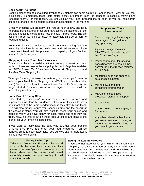#### **Once begun, half done**

Cooking dinner can be exhausting. Preparing 20 dinners can seem daunting! Hang in there – we'll get you thru it painlessly. Remember, foods taste better if they are frozen fresh (as opposed to cooking, thawing and reheating them). For this reason, you should plan your meal preparations as soon as you get home from shopping, or shop the night before and start assembling in the morning.

Grocery shopping will probably take you an hour or two, and for a reference point, several of our staff have tested the assembly of the kits and had all 20 meals in the freezer in two – three hours. The pre assembly prep list helps cut down on assembly time so be sure to read it and use it!

No matter how you decide to coordinate the shopping and the assembly, the idea is to be hassle free and reduce some of the stress associated with the planning and preparing of your family's meals. So, let's get going!

#### **Shopping Lists – Your plan for success**

This couldn't be a Menu-Mailer without one of your most important tools to dinner success – the shopping list! And Mega Menu-Mailer has TWO of them! Two? Yes, two! A Dinner Kit Shopping List and the Meal Time Shopping List.

When you're ready to enjoy the fruits of your labors, you'll want to refer to your Meal Time Shopping List. (We'll talk more about that later!) For now, you'll want to take out your Dinner Kit Shopping List to get started. This one has all of the ingredients that you'll be assembling and freezing.

#### **Home Sweet Grocery Store**

Let's start by "shopping" in your pantry, fridge, freezer, and cupboards. Our Mega Menu-Mailer testers found they could cross off almost half of the items needed because they already had them. This will also greatly reduce your shopping time and the payout at the checkout stand. You will also want to check your spices and herbs to verify you have plenty for each recipe and that they are fresh. Now, It's time to put on those lace up shoes and head to the market for your remaining ingredients.

If you want to really take the easy way out, use your grocer's ONLINE SHOPPING and order your food ahead so it arrives perfectly timed to begin assembly. (See our web site for more about online grocery shopping.)

#### **Money Saving Tip**

Take your Dinner Kit Shopping List and sit down with the sale flyers from your local stores. Compare flyers and see who has the better deals on the items you'll need, especially meats that you can buy in bulk quantities on sale.

#### **Supplies and Tools to have on hand:**

- Freezer bags in gallon and quart sizes (figure 2 one gallon sized bags per meal)
- □ 2 plastic storage containers (GladWare®, Ziploc®, etc) in a flat, "casserole" style.
- **Permanent marker for labeling** bags (Sharpies are best as they don't "run" in the freezer. (Narrow or Fine point)
- □ Measuring cups and spoons (2) sets of each is best!)
- Mixing bowls and other containers for preparation
- □ Manual or electric food processor, blender or chopper
- □ Sharp knives
- □ Cutting boards (1 for veggies, 1 for meats)
- Any other related kitchen items you are accustomed to using in the normal course of cooking that you have in your kitchen.

#### **Taking the Leisurely Route?**

If you are not assembling your dinner kits shortly after shopping, make sure that you properly store frozen foods (don't freeze your fresh meats yet!) and perishables. See our Food Safety Guidelines on the next page for tips!) Remember: You should assemble your meals as soon as possible to have the best results.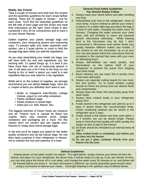#### **Ready, Set, Freeze!**

Take a couple of minutes and read over the recipes and the assembly guidelines for each recipe before starting. There are 20 pages of recipes – one for each meal. You'll find the assembly guidelines on the left side of each page and the recipe and meal time instructions on the right. Each recipe is also numbered 1 thru 20 for convenience and to track it on your Dinner Planner.

Gather together your plastic storage bags and containers, your measuring spoons and measuring cups. To prevent spills and make assembly even quicker, use a 2 quart pitcher or crock to hold the storage bag open while you add the ingredients.

As you start assembling your meals into bags, you will have both dry and wet ingredients you are working with. To speed things up, it is best if you have more than one set of measuring spoons in use. It will save you a lot if time in the long run not having to dry or wash a spoon you used in a wet ingredient that you now need for a dry ingredient.

While we're on the subject of supplies, we strongly recommend you use plastic **freezer** bags. Here are a couple of items you definitely don't want to use:

- Butter or margarine tubs,Ricotta, cottage cheese, yogurt or cool whip containers
- Plastic sandwich bags
- Plastic produce or bread bags
- Glass jars (i.e. Ball, Mason, etc)

The biggest enemies of frozen foods are moisture and air. Freezer burn is caused by these two culprits, that's why moisture proof, airtight containers and packaging are a must. For this reason don't cut corners and use regular (nonfreezer) or cheap store brand storage bags.

In the end you'll be happy you opted for the better quality containers and zip top freezer bags. No one likes nasty surprises in their refrigerator or freezer, not to mention the loss and expense of a meal.

#### **General Food Safety Guidelines You Should Always Follow**

- 1. Always wash your hands before and after handling raw food.
- 2. Defrost/thaw your food in the refrigerator, never at room temp. A quick method to defrost your meal is to place it in a water tight bag and place the bag in a bowl of cold water, changing the water every 30 minutes. Changing the water ensures your meal stays cold and prohibits or slows any bacterial growth. (Microwave defrosting - While thawing food in the microwave may be fast, I don't recommend it. Microwave oven power levels vary greatly between different makes and models. If you choose to use the microwave, do so at your own risk and please follow the instructions that are contained in the manual that came with your oven for defrosting food.)
- 3. Always defrost/thaw raw meat, poultry, and fish/seafood on the bottom shelf of your refrigerator to prevent the juices from dripping onto other foods.
- 4. Never refreeze any raw meat, fish or poultry once it has been defrosted.
- 5. Always use separate cutting boards for raw meat, fish and poultry. Try to avoid wooden cutting boards as these are porous and can absorb fluids and contaminates.
- 6. Always keep raw meat, fish and poultry away from other foods.
- 7. Always store cooked foods in your refrigerator below 40∘F.
- 8. Foods stored in the refrigerator are safe for up to 4 days if stored below the recommended temp. Foods containing seafood can be stored in the refrigerator up to 2 days.
- 9. Foods stored in the freezer are best used within 2 to 4 months, but can be stored longer. Please keep in mind that food quality will suffer greatly the longer an item is kept in the freezer.
- 10. All foods should be reheated to an internal temp of 165° F.
- 11. Allow cooked foods to completely cool before you put them into the freezer.
- 12. Do not put a glass container directly from your freezer into the oven.

#### **Defrost Guidelines**

Getting dinner on the table couldn't be easier! The night before, simply remove your dinner kit from the freezer and place it in your refrigerator. By dinner time, it will be ready to cook up. If you are shorter on time, you can also place the dinner kit in cool water, and change the water every 30 minutes or so, and dinner will be thawed before you know it. As each microwave is different, we cannot guarantee good results when using a microwave to defrost your meals.. Overnight thawing is the optimum way to defrost dinner.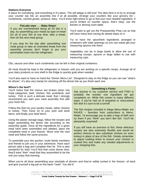#### **Stations Everyone**

A place for everything, and everything in it's place. The old adage is still true! The idea here is to try to arrange your counter top into an assembly line if at all possible. Arrange your counters like your grocery list – condiments, canned goods, produce, dairy. You'll know right where to go to find your next needed ingredient. If

#### **FlyLady says . . . Baby Steps!**

If you are overwhelmed doing all 20 kits in a day, try assembling your meals by type of meat! Do all of your fish at one time, take a break, then do the next meat group.

If you stop for the day after assembling one meat group or take an extended break from the assembly process don't forget to put your perishables back into the refrigerator.

you're limited on counter space, that's okay, use the kitchen or dinning room table.

You'll want to get out the Preassembly Prep List as that will have many time saving do ahead steps on it.

Try to have the spice/herb ingredients arranged in containers with wide openings so you can easily get your measuring spoons into them.

Vegetables can be in large bowls to allow the use of measuring scoops, spoons or large ladles to use with measuring cups.

Oils, sauces and other such condiments can be left in their original containers.

All meat should be kept in the refrigerator or freezer until you are working on a specific recipe. Arrange all of your dairy products on one shelf in the fridge to quickly grab when needed.

You'll also want to have on hand the "Dinner Menu List". Designed to stay on the fridge so you can see "what's for dinner", it's also very handy for checking off the dinner kits as you finish each one.

#### **Where's the beef?**

You'll notice that the menus are broken down into meat categories: beef, chicken, fish, pork/lamb, and turkey. Fish is such a delicate meat, that I strongly recommend you start your meal assembly first with your fresh fish.

Follow this then by your poultry meats, either chicken or turkey. Then move on to your pork and lamb items, and finally your beef items.

Using the plastic storage bags, follow the recipes and begin assembling the dinner kits according to the assembly guide. Once all the ingredients for a given meal have been assembled and labeled, place the completed meal in your freezer. Move onto the next meal and follow the same process.

To assemble your kits quicker, invite family members and friends to join you in your adventure. Have each person take a bag and complete their kit. This is also wonderful for kids! You'll find that come dinner time, they'll want "their" meal that they assembled to be the one you enjoy that evening.

#### **Something's Fishy!**

Ask anyone in my customer service and FISH is probably the number one ingredient we get complaints on. While fish comes in many different ways, if you've had an ill prepared or overcooked fish dish it's sure to be a turnoff.

The fish recipes included in Mega Menu-Mailer are RAVES – favorites from subscribers to Menu-Mailer. I'd encourage you to take a leap of faith and try them if you "think" you don't like fish. You'll be pleasantly surprised!

If you still have an aversion to fish, these delicious recipes are also extremely flexible and would be perfect choices to also substitute chicken (or even turkey) in place of any of the fish. Simply remember to adjust cooking times to ensure your chicken is cooked thru and make any needed adjustments to your shopping lists.

When you're all done assembling your stockpile of dinners and they're safely tucked in the freezer, sit back and give yourself a big pat on the back! Yeah! You did it!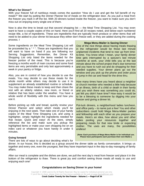#### **What's for Dinner?**

With your freezer full of nutritious meals comes the question "How do I use and get the full benefit of my meals?" We start by putting the Dinner Planner list of meals on the refrigerator door. As you pull a meal from the freezer you mark it off the list. With 20 dinners tucked inside the freezer, you want to make sure you don't miss out on enjoying every single one of them.

Now is also the time to break out that second shopping list — the Meal Time Shopping List. You may even want to have a couple copies of this on hand. Here you'll find all 20 recipes noted, and below each numbered recipe title, a list of ingredients. These are ingredients that are typically fresh produce or other items that will need to be added to your dinner kit because they either don't freeze well, or they are added during the cooking process. I

Some ingredients on the Meal Time Shopping List will be proceeded by a " \* ". These are ingredients that you will want to have on hand if you are following our Serving Suggestions. Remember, the Dinner Kit Shopping List only listed the items needed for the freezer portion of the meal. This is because you're freezing a months worth of main courses and some food items are very perishable and only last approximately a week in your pantry or fridge.

Also, you are in control of how you decide to use the meals. You may decide to use these meals for the whole month while others may decide to use it to supplement an already established routine or schedule. You may make these meals to keep and then share the rest with an elderly relative, new mom, or friend or relative that has been under the weather. You have a whole world of flexibility with this menu and how you use it.

Before picking up milk and bread, quickly review your Dinner Planner and select which meals you'll be enjoying in the next week. Then take one of your handy copies of the Meal Time Shopping List, and using a highlighter, simply highlight the ingredients needed for that recipe. Quick and easy! At the store, simply reference the list and make sure you pickup the highlighted items or make your own shopping list on an index card or whatever you have handy in under 5 minutes.

#### **Mega Menu-Mailer is Saving Dinner**

One of the nice things about having meals thawing in the refrigerator would be those last minute unplanned incidents that tend to rear up from timeto-time. You know what I mean, your family dinner time gets interrupted by a spouse's last minute overtime at work, your child tells you at the last minute about the school project that's due tomorrow and you have to rush out and do shopping for their needed supplies. Your dinner plans go out the window and you pick up the phone and order pizza or jump in the car and head for the drive thru.

How many times have you heard about a neighbor or church member who needed a little help because of an illness, birth of a child or death in their family and you wish there was something you could do, yet felt you didn't have time? How easy it would be to be a blessing to someone by digging into your freezer and giving a dinner kit.

Pot-luck dinners, a neighborhood ladies luncheon, and office party – to name just a few! You and other subscribers could hold Mega Menu-Mailer parties and fellowship with each other as you prepare your meals. Here's an idea, how about you and other ladies pooling your resources together and preparing meals for that new bride or expecting mother. The uses are many, the possibilities endless!

**(Note: Each purchase of Mega Menu-Mailer is for individual use. Please have participants each purchase their own Mailer.)** 

#### **Going forward**

There are lots of ways to go about deciding what's for

dinner. In our house, this is decided as a group around the dinner table as family conversation. It brings us together and every one, even the youngest, feel they have important input in the day-to-day managing of family affairs.

After our meal is complete and the dishes are done, we pull the next day's meal from freezer and place it in the bottom of the refrigerator to thaw. There is great joy and comfort seeing those meals all ready to use and enjoying each one!

#### **Congratulations on Saving Dinner in your home!**

Copyright © 2008 Leanne Ely All Rights Reserved. May be copied for individual personal use only. If you'd like to share, please share our free menus available on the web at www.SavingDinner.com **Crock Cooker Twenty for the Freezer - Volume 1 — Page 6 of 34**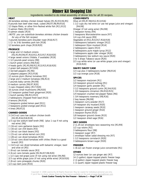### Dinner Kit Shopping List

#### Ingredients needed to do initial assembly of dinner kits for all 20 recipes.

#### **MEAT**

- 26 boneless skinless chicken breast halves [R1,R2,R3,R4,R5] 8 pounds lean beef stew meat, cubed [R6,R7,R8,R9,R10]
- 12 tilapia fillets, or other firm-fleshed white fish [R11,R13]
- 9 salmon fillets [R12,R15]
- 6 salmon steaks [R14]
- (NOTE: you can substitute boneless skinless chicken breasts for any of the fish recipes)
- 3 pounds boneless pork shoulder roast [R16,R17]
- 1 (2- to 3-lb) boneless pork loin [R18]
- 12 boneless pork chops [R19,R20]

#### **PRODUCE**

- 1 large and 12 medium onions
- [R2,R3,R4,R6,R7,R10,R11,R15,R17,R18,R20]
- 4 large sweet onions (Vidalia, if available) [R19]
- 1 1/2 pounds pearl onions [R8]
- 1 bunch green onions [R8,R16]
- 4 heads garlic [R2,R5,R8,R12,R13,R15,R18,R20]
- 2 green bell peppers [R7,R20]
- 2 red bell peppers [R2,R6]
- 2 jalapeno peppers [R15,R18]
- 12 ounces plum (Roma) tomatoes [R2]
- 2 large and 2 medium tomatoes [R6,R13]
- 2 pounds baby carrots [R4,R8]
- 6 medium carrots [R6,R7,R20]
- 3 cups chopped celery [R17,R20]
- 16 ounces small mushrooms [R6,R20]
- 1/2 teaspoon grated fresh gingerroot [R20]
- 1 bunch parsley [R6,R11,R13]
- 2 tablespoons chopped fresh basil [R13]
- 4 lemons [R4,R14]
- 2 teaspoons grated lemon peel [R11]
- 2 teaspoons grated orange peel [R11]
- 4 limes [R9,R13]

#### **CANNED GOODS**

- 3 (14.5-oz) cans low sodium chicken broth [R2,R5,R16,R18,R19]
- 1/3 cup low sodium beef broth [R8] (plus 1 cup if not using red wine) [R6]
- 2 (16-oz) cans garbanzo beans [R2]
- 1 (16-oz) can chili beans [R3]
- 1 (16-oz) can black beans [R3]
- 1 (15-oz) can whole kernel corn [R3]
- 1 (28-oz) can diced tomatoes [R15]
- 2 (10-oz) cans diced tomatoes with chilies (Rotel is a good brand) [R3]
- 1 (14.5-oz) can diced tomatoes with balsamic vinegar, basil and olive oil [R5]
- 1 (8-oz) can tomato sauce [R3]
- 4 (6-oz) cans tomato paste [R2,R4,R7,R8,R20]
- 1 1/2 cups red grape juice (if not using red wine) [R4,R8]
- 2/3 cup white grape juice (if not using white wine) [R19,R20]
- 2 (8-oz) cans pineapple chunks [R20]
- 1/2 cup clam juice [R15]

#### **CONDIMENTS**

- Olive oil [R5,R7,R8,R12,R13,R16]
- 1 1/2 cups dry red wine (or use red grape juice and vinegar) [R4,R8]
- Vinegar (if not using wine) [R4,R8]
- 1 teaspoon honey [R4]
- 2 teaspoons Worcestershire sauce [R7]
- 1/4 cup chili sauce [R9]
- Vegetable oil [R11,R15,R17,R18,R19]
- 3 tablespoons balsamic vinegar [R12]
- 1 tablespoon Dijon mustard [R14]
- 2 tablespoons capers [R13]
- 6 tablespoons pure maple syrup [R12]
- 3 tablespoons apple cider vinegar [R20]
- 3 tablespoons low sodium soy sauce [R20]
- 3 to 5 drops Tabasco sauce [R20]
- 2/3 cup white wine (or use white grape juice and vinegar) [R19,R20]

#### **DAIRY/DAIRY CASE**

- 1/3 cup plus 3 tablespoons butter [R8,R14]
- 1/2 cup orange juice [R18]

#### **SPICES**

- 1/2 teaspoon marjoram [R1]
- 1/4 teaspoon ground nutmeg [R1]
- 1/4 teaspoon garlic powder [R1]
- 3 1/2 teaspoons ground cumin [R2,R4,R10]
- 1 3/4 teaspoons cinnamon [R4,R10,R15]
- 1/4 teaspoon crushed red pepper flakes [R6]
- 1 3/4 teaspoons rosemary [R8,R16]
- 2 bay leaves [R6,R8]
- 1 teaspoon curry powder [R17]
- 1/4 teaspoon dry mustard [R20]
- 1 teaspoon caraway seeds [R10]
- 1 teaspoon ground ginger [R10]
- 1 teaspoon thyme [R15]
- 1/8 teaspoon ground cloves [R15]
- 1/2 teaspoon dried sage [R16]

#### **DRY GOODS**

- 2 (1.25-oz) envelopes taco seasoning mix [R3,R9]
- 1/2 cup raisins [R2]
- 3 tablespoons flour [R8]
- 1 teaspoon sugar [R7]
- 1 envelope Italian salad dressing mix [R7]
- 1 1/2 teaspoons cornstarch [R20]
- 3 tablespoons brown sugar [R20]

#### **FREEZER**

1 (6-oz) can frozen orange juice concentrate [R1]

#### **OTHER**

Copyright © 2008 Leanne Ely All Rights Reserved. May be copied for individual personal use only. If you'd like to share, please share our free menus available on the web at www.SavingDinner.com **Crock Cooker Twenty for the Freezer - Volume 1 — Page 7 of 34** 

- 12 ounces beer (or use ginger ale) [R7]
- 14 (1-gallon) zipper-topped plastic freezer bags
- 2 (2-gallon) zipper-topped plastic freezer bag
- 1 (1-quart) zipper topped plastic freezer bag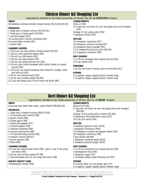### Chicken Dinner Kit Shopping List

#### Ingredients needed to do initial assembly of dinner kits for all **CHICKEN** recipes.

#### **MEAT**

26 boneless skinless chicken breast halves [R1,R2,R3,R4,R5]

#### **PRODUCE**

- 1 large and 3 medium onions [R2,R3,R4,]
- 1 head plus 3 cloves garlic [R2,R5,]
- 1 red bell pepper [R2]
- 12 ounces plum (Roma) tomatoes [R2]
- 8 ounces baby carrots [R4]
- 1 lemon [R4]

#### **CANNED GOODS**

- 1 (14.5-oz) can low sodium chicken broth [R2,R5]
- 2 (16-oz) cans garbanzo beans [R2]
- 1 (16-oz) can chili beans [R3]
- 1 (16-oz) can black beans [R3]
- 1 (15-oz) can whole kernel corn [R3]
- 2 (10-oz) cans diced tomatoes with chilies (Rotel is a good brand) [R3]
- 1 (14.5-oz) can diced tomatoes with balsamic vinegar, basil and olive oil [R5]
- 1 (8-oz) can tomato sauce [R3]
- 2 (6-oz) cans tomato paste [R2,R4]
- 1/2 cup red grape juice (if not using red wine) [R4]

#### **CONDIMENTS**

Olive oil [R5]

1/2 cups dry red wine (or use red grape juice and vinegar) [R4] Vinegar (if not using wine) [R4]

1 teaspoon honey [R4]

#### **SPICES**

1/2 teaspoon marjoram [R1]

1/4 teaspoon ground nutmeg [R1]

1/4 teaspoon garlic powder [R1]

- 2 1/2 teaspoons ground cumin [R2,R4]
- 1/2 teaspoon cinnamon [R4]

#### **DRY GOODS**

1 (1.25-oz) envelope taco seasoning mix [R3] 1/2 cup raisins [R2]

#### **FREEZER**

1 (6-oz) can frozen orange juice concentrate [R1]

#### **OTHER**

- 4 (1-gallon) zipper-topped plastic freezer bags
- 1 (2-gallon) zipper-topped plastic freezer bag

### Beef Dinner Kit Shopping List

Ingredients needed to do initial assembly of dinner kits for all **BEEF** recipes.

#### **MEAT**

8 pounds lean beef stew meat, cubed [R6,R7,R8,R9,R10]

#### **PRODUCE**

- 1 large and 3 medium onions [R6,R7,R10]
- 1 1/2 pounds pearl onions [R8]
- 6 green onions [R8]
- 3 cloves garlic [R8]
- 1 green bell pepper [R7]
- 1 red bell pepper [R6]
- 2 medium tomatoes [R6]
- 8 ounces mushrooms [R6]
- 1 1/2 pounds baby carrots [R8]
- 4 medium carrots [R6,R7]
- 1 bunch parsley [R6]
- 2 limes [R9]

#### **CANNED GOODS**

- 1/3 cup low sodium beef broth [R8] (plus 1 cup if not using red wine) [R6]
- 2 (6-oz) cans tomato paste [R7,R8]
- 1 cup red grape juice (if not using red wine) [R8]

#### **DAIRY/DAIRY CASE**

3 tablespoons butter [R8]

#### **CONDIMENTS**

Olive oil [R7,R8]

2 cups dry red wine (or use red grape juice and vinegar) [R6,R8] Vinegar (if not using wine or beer) [R7,R8]

- 2 teaspoons Worcestershire sauce [R7]
- 1/4 cup chili sauce [R9]

#### **SPICES**

- 1 teaspoon ground cumin [R10]
- 1 teaspoon cinnamon [R10]
- 1/4 teaspoon crushed red pepper flakes [R6]
- 3/4 teaspoon rosemary [R8]
- 2 bay leaves [R6,R8]
- 1 teaspoon caraway seeds [R10]
- 1 teaspoon ground ginger [R10]

#### **DRY GOODS**

- 1 (1.25-oz) envelope taco seasoning mix [R9]
- 3 tablespoons flour [R8]
- 1 teaspoon sugar [R7]
- 1 envelope Italian salad dressing mix [R7]

#### **OTHER**

12 ounces beer (or use ginger ale) [R7] 5 (1-gallon) zipper-topped plastic freezer bags

Copyright © 2008 Leanne Ely All Rights Reserved. May be copied for individual personal use only. If you'd like to share, please share our free menus available on the web at www.SavingDinner.com **Crock Cooker Twenty for the Freezer - Volume 1 — Page 8 of 34**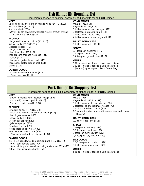### Fish Dinner Kit Shopping List

#### Ingredients needed to do initial assembly of dinner kits for all **FISH** recipes.

#### **MEAT**

12 tilapia fillets, or other firm-fleshed white fish [R11,R13] 9 salmon fillets [R12,R15]

6 salmon steaks [R14]

(NOTE: you can substitute boneless skinless chicken breasts for any of the fish recipes)

#### **PRODUCE**

- 1 large and 1 medium onions [R11,R15]
- 6 cloves garlic [R12,R13,R15]
- 1 jalapeno pepper [R15]
- 2 large tomatoes [R13]
- 1 bunch parsley [R11,R13]
- 2 tablespoons chopped fresh basil [R13]
- 1 lemon [R14]
- 2 teaspoons grated lemon peel [R11]
- 2 teaspoons grated orange peel [R11] 2 limes [R13]

#### **CANNED GOODS**

1 (28-oz) can diced tomatoes [R15] 1/2 cup clam juice [R15]

#### **CONDIMENTS**

Olive oil [R12,R13] Vegetable oil [R11,R15] 3 tablespoons balsamic vinegar [R12] 1 tablespoon Dijon mustard [R14] 2 tablespoons capers [R13] 6 tablespoons pure maple syrup [R12]

#### **DAIRY/DAIRY CASE**

3 tablespoons butter [R14]

#### **SPICES**

1/4 teaspoon cinnamon [R15] 1 teaspoon thyme [R15] 1/8 teaspoon ground cloves [R15]

#### **OTHER**

- 5 (1-gallon) zipper-topped plastic freezer bags
- 1 (2-gallon) zipper-topped plastic freezer bag
- 1 (1-quart) zipper topped plastic freezer bag

### Pork Dinner Kit Shopping List

#### Ingredients needed to do initial assembly of dinner kits for all **PORK** recipes.

#### **MEAT**

- 3 pounds boneless pork shoulder roast [R16,R17]
- 1 (2- to 3-lb) boneless pork loin [R18]
- 12 boneless pork chops [R19,R20]

#### **PRODUCE**

- 5 medium onions [R17,R18,R20]
- 4 large sweet onions (Vidalia, if available) [R19]
- 1 bunch green onions [R16]
- 4 cloves garlic [R18,R20]
- 1 green bell pepper [R20]
- 1 jalapeno pepper [R18]
- 2 medium carrots [R20]
- 3 cups chopped celery [R17,R20]
- 8 ounces small mushrooms [R20]
- 1/2 teaspoon grated fresh gingerroot [R20]

#### **CANNED GOODS**

- 3 (14.5-oz) cans low sodium chicken broth [R16,R18,R19]
- 4 (6-oz) cans tomato paste [R20]
- 2/3 cup white grape juice (if not using white wine) [R19,R20]
- 2 (8-oz) cans pineapple chunks [R20]

#### **CONDIMENTS**

- Olive oil [R16] Vegetable oil [R17,R18,R19]
- 3 tablespoons apple cider vinegar [R20]
- 3 tablespoons low sodium soy sauce [R20]
- 3 to 5 drops Tabasco sauce [R20]
- 2/3 cup white wine (or use white grape juice and vinegar) [R19,R20]

#### **DAIRY/DAIRY CASE**

1/2 cup orange juice [R18]

#### **SPICES**

- 1 teaspoons rosemary [R16] 1/2 teaspoon dried sage [R16] 1 teaspoon curry powder [R17]
- 1/4 teaspoon dry mustard [R20]

#### **DRY GOODS**

1 1/2 teaspoons cornstarch [R20] 3 tablespoons brown sugar [R20]

#### **OTHER**

5 (1-gallon) zipper-topped plastic freezer bags

Copyright © 2008 Leanne Ely All Rights Reserved. May be copied for individual personal use only. If you'd like to share, please share our free menus available on the web at www.SavingDinner.com **Crock Cooker Twenty for the Freezer - Volume 1 — Page 9 of 34**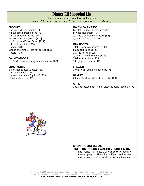### Dinner Kit Shopping List

Ingredients needed on actual cooking day *(some of these are non-perishable and can be purchased in advance).*

#### **PRODUCE**

1 pound white mushrooms [R8] 3/4 cup sliced green onions [R9] 1/2 cup chopped cilantro [R9] Parsley sprigs, for garnish [R11] 4 1/2 cups cauliflower florets [R17] 1/4 cup lemon juice [R18] 1 orange [R18] Orange and lemon slices, for garnish [R11] 4 pears [R10]

#### **CANNED GOODS**

1 (15-oz) can whole berry cranberry sauce [R9]

#### **CONDIMENTS**

2 tablespoons peanut butter [R2] 1/4 cup basil pesto [R5] 1 tablespoon capers (optional) [R15] 10 Kalamata olives [R15]

#### **DAIRY/DAIRY CASE**

Low fat Cheddar cheese, shredded [R3] Low fat sour cream [R3] 1/3 cup crumbled Feta cheese [R4] 3/4 cup half and half [R16]

#### **DRY GOODS**

3 tablespoons cornstarch [R1,R18] Baked tortilla chips [R3] 1/2 cup raisins [R10] 1/2 cup slivered almonds [R10] 3 tablespoons flour [R16] 7 large pitted prunes [R17]

#### **FREEZER**

1 cup frozen petite or baby peas [R6]

#### **BAKERY**

6 flour OR whole wheat flour tortillas [R9]

#### **OTHER**

1 (12-oz) bottle beer (or non alcoholic beer) (optional) [R3]



#### **SHOPPING LIST LEGEND**

 **[R1] – [R6] = Recipe 1, Recipe 2, Recipe 3, etc…** Each recipe is assigned a day which corresponds to the shopping list. This is handy if you need to alter any recipes or omit a certain recipe from the menu.

Copyright © 2008 Leanne Ely All Rights Reserved. May be copied for individual personal use only. If you'd like to share, please share our free menus available on the web at www.SavingDinner.com **Crock Cooker Twenty for the Freezer - Volume 1 — Page 10 of 34**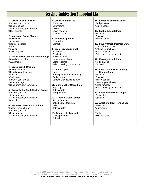### Serving Suggestion Shopping List

#### **1. Crock Glazed Chicken**

\*Lettuce, your choice \*Salad toppings \*Salad dressing, your choice \*Baby carrots

#### **2. Moroccan Crock Chicken**

\*Brown rice

- \*Snow peas
- \*Red bell peppers
- \*Kale
- \*Olive oil \*Clove of garlic

#### **3. Slow Cooker Chicken Tortilla Soup**

\*Baked tortilla chips \*Guacamole

#### **4. Greek Croc k Chicken**

\*Russet potatoes \*Baked potato toppings \*Broccoli \*Cauliflower \*Lettuce, your choice \*Salad toppings \*Salad dressing, your choice

#### **5. Crock Garlic Basil Chicken Breast**

\*Lettuce, your choice \*Salad toppings \*Salad dressing, your choice \*Broccoli

#### **6. Easy Beef Stew a la Crock Pot**

\*Loaf of French bread \*Lettuce, your choice \*Salad toppings \*Salad dressing, your choice

#### **7. Crock Beef and Ale**

\*Snow peas \*Mushrooms \*Olive oil \*Clove of garlic \*Wild rice pilaf

#### **8. Beef Bourguignon**

\*Brown rice \*Spinach

#### **9. Crock Cranberry Beef**

\*Brown rice \*Zucchini \*Yellow squash \*Lettuce, your choice \*Salad toppings \*Salad dressing, your choice

#### **10. Beef Tajine**

\*Orzo \*Baby spinach (about 6 cups) \*Garlic powder \*Lemons (need juice, to taste)

#### **11. Slow Cooker Citrus Fish**  \*Asparagus \*Baby carrots \*Red potatoes

**12. Crocked Maple Salmon**  \*Russet potatoes \*Baked potato toppings \*Kale \*Baby carrots

#### **13. Tilapia with Tapenade**  \*Sweet potatoes \*Spinach

**14. Lemoned Salmon Steaks**  \*Red potatoes \*Green beans

#### **15. Exotic Crock Salmon**  \*Brown rice \*Zucchini \*Yellow squash

#### **16. Savory Crock Pot Pork Stew**  \*Loaf of French bread \*Lettuce, your choice \*Salad toppings \*Salad dressing, your choice

#### **17. Marengo Crock Pork**  \*Red potatoes

\*Broccoli

#### **18. Slow Cooker Pork in Spicy Orange Sauce**

\*Brown rice \*Zucchini \*Yellow squash \*Lettuce, your choice \*Salad toppings \*Salad dressing, your choice

#### **19. Sweet Onion Pork Chops**  \*Brown rice \*Spinach

**20. Sweet and Sour Pork Chops**  \*Snow peas \*Mushrooms \*Oil \*Garlic \*Wild rice pilaf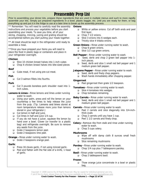### Preassembly Prep List

Prior to assembling your dinner kits, prepare these ingredients that are used in multiple menus and such to more rapidly assemble your kits. Simply put prepared ingredients in a bowl, plastic baggie, etc. until you are ready for them, or bag everything up and put it in the fridge to use at a later time to break up the assembly process.

\*\* Remember: You will need to carefully read the assembly instructions and process your vegetables before you start assembling your meals. To save you time, all of your slicing, chopping, mincing, juicing and grating should be accomplished before you start putting your meals together.

\*\* All meat should be kept in the refrigerator until ready to assemble a meal.

\*\*Once you have prepped your items you will need to place the food in plastic bags or containers and place in your refrigerator overnight.

#### **Chicken**

- Slice 10 chicken breast halves into 1-inch cubes
- Chop 4 chicken breast halves into bite-sized pieces

#### **Beef**

□ Cube meat, if not using pre-cut meat.

#### **Fish**

□ Cut 3 salmon fillets into fourths.

#### **Pork**

- Cut 3 pounds boneless pork shoulder roast into 1 inch cubes.
- **Lemons & Limes** Rinse lemons and limes under running water to wash.
	- □ Using your palm, press and roll the lemon on your countertop a few times to help release the juice from the pulp. (Tip: Lemons and limes stored at room temperature release more juice than lemons stored in your refrigerator.)
	- Cut lemon in half and juice.
	- $\Box$  Cut limes in half and juice 1/4 cup.
	- □ If you do not have a juicer, squeeze the lemon by hand over a bowl. Cover (or transfer to a plastic bag) and refrigerate overnight. Be sure to remove any seeds from the juice.
	- Grate 2 teaspoons lemon peel.
	- Grate 2 teaspoons lime peel.

**Orange -** Rinse under running water to wash.

Grate 2 teaspoons orange peel.

#### **Garlic**

- □ Press 16 cloves garlic, if not using minced garlic.
- Peel and flatten with the flat side of a knife, 1 head of garlic.

#### **Onions**

- White or yellow onions: Cut off both ends and peel first layer.
- Chop 7 1/2 onions.
- □ Slice 3 onions into 6 wedges each.
- Thickly slice 4 Vidalia onions.

**Green Onions -** Rinse under running water to wash.

- Chop 6 green onions.
- Slice 1/2 cup green onions.

**Bell Pepper -** Rinse under running water to wash.

- □ Seed, derib and chop 2 green bell pepper into 1inch pieces.
- □ Seed, derib and slice 1 small red bell pepper and 1 medium green bell pepper.

**Jalapeno Pepper -** Rinse under running water to wash.

- □ Seed, derib and finely chop peppers.
- □ Wash hands immediately after chopping pepper.

#### **Gingerroot**

□ Peel gingerroot then grate 1/2 teaspoon.

#### **Tomatoes -** Rinse under running water to wash.

- □ Slice 4 tomatoes into wedges.
- Chop tomatoes remaining.

#### **Baby Carrots -** Rinse under running water to wash.

□ Seed, derib and slice 1 small red bell pepper and 1 medium green bell pepper.

**Carrots -** Rinse under running water to wash.

- □ Peel 2 carrots and slice diagonally into 3/4-inchthick ovals
- Chop 2 carrots until you have 1 cup.
- □ Peel 1 1/2 carrots and finely chop.
- **Celery** Remove ribs from stalk and rinse under running water to wash.
	- □ Chop 3 cups celery.

#### **Mushrooms**

- Wipe off with damp cloth 8 ounces small fresh mushrooms
- Slice remaining mushrooms

**Parsley -** Rinse under running water to wash.

- Chop 1/4 cup plus 7 tablespoons parsley.
- **Basil** Rinse under running water to wash.
	- Chop 2 tablespoons basil.

#### **Frozen**

 Thaw orange juice concentrate in a bowl or plastic bag.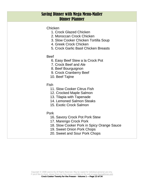### Saving Dinner with Mega Menu-Mailer Dinner Planner

Chicken

- 1. Crock Glazed Chicken
- 2. Moroccan Crock Chicken
- 3. Slow Cooker Chicken Tortilla Soup
- 4. Greek Crock Chicken
- 5. Crock Garlic Basil Chicken Breasts
- Beef
	- 6. Easy Beef Stew a la Crock Pot
	- 7. Crock Beef and Ale
	- 8. Beef Bourguignon
	- 9. Crock Cranberry Beef
	- 10. Beef Tajine
- Fish
	- 11. Slow Cooker Citrus Fish
	- 12. Crocked Maple Salmon
	- 13. Tilapia with Tapenade
	- 14. Lemoned Salmon Steaks
	- 15. Exotic Crock Salmon
- Pork
	- 16. Savory Crock Pot Pork Stew
	- 17. Marengo Crock Pork
	- 18. Slow Cooker Pork in Spicy Orange Sauce
	- 19. Sweet Onion Pork Chops
	- 20. Sweet and Sour Pork Chops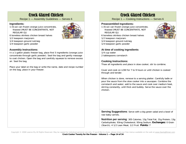### Crock Glazed Chicken

Recipe 1 — Assembly Guidelines — Serves 6

#### **Ingredients:**

1 (6-oz) can frozen orange juice concentrate, thawed (MUST BE CONCENTRATE, NOT REGULAR OJ)



- 1/2 teaspoon marjoram
- 1/4 teaspoon ground nutmeg
- 1/4 teaspoon garlic powder

#### **Assembly Instructions:**

In a 1-gallon plastic freezer bag, place first 5 ingredients (orange juice concentrate through garlic powder). Seal the bag and gently massage to coat chicken. Open the bag and carefully squeeze to remove excess air. Seal the bag.

Place your label on the bag or write the name, date and recipe number on the bag; place in your freezer.

### Crock Glazed Chicken

Recipe 1 — Cooking Instructions — Serves 6

#### **Preassembled Ingredients:**

1 (6-oz) can frozen orange juice concentrate, thawed (MUST BE CONCENTRATE, NOT REGULAR OJ)

6 boneless skinless chicken breast halves

- 1/2 teaspoon marjoram
- 1/4 teaspoon ground nutmeg
- 1/4 teaspoon garlic powder

#### **At time of cooking ingredients**

1/4 cup water 2 tablespoons cornstarch

#### **Cooking Instructions:**

Thaw all ingredients and place in slow cooker; stir to combine.

Cover and cook on LOW for 7 to 9 hours or until chicken is cooked through and tender.

When chicken is done, remove to a serving platter. Carefully ladle or pour the sauce from the slow cooker into a saucepan. Combine the cornstarch and water; add to the sauce and cook over medium heat, stirring constantly, until thick and bubbly. Serve the sauce over the chicken.

**Serving Suggestions:** Serve with a big green salad and a bowl of raw baby carrots.

**Nutrition per serving**: 305 Calories; 13g Total Fat; 31g Protein; 13g Carbohydrate; 93mg Cholesterol; 93mg Sodium. **Exchanges:** 0 Grain (Starch); 4 1/2 Lean Meat; 1/2 Fruit. **Points:** 7



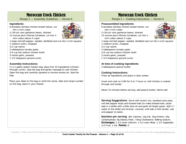### Moroccan Crock Chicken

Recipe 2 — Assembly Guidelines — Serves 6

#### **Ingredients:**

- 6 boneless skinless chicken breast halves, cut into 1-inch cubes
- 2 (16-oz) cans garbanzo beans, drained
- 12 ounces plum (Roma) tomatoes, cut into 1 inch cubes (about 2 cups)
- 1 large red bell pepper, seeded, deribbed and cut into 1-inch squares
- 1 medium onion, chopped
- 1/2 cup raisins
- 2 tablespoons tomato paste
- 1/4 cup low sodium chicken broth
- 3 cloves garlic, pressed
- 1 1/2 teaspoons ground cumin

#### **Assembly Instructions:**

In a 1-gallon plastic freezer bag, place first 10 ingredients (chicken through cumin). Seal the bag and gently massage to coat chicken. Open the bag and carefully squeeze to remove excess air. Seal the bag.

Place your label on the bag or write the name, date and recipe number on the bag; place in your freezer.

### Moroccan Crock Chicken

Recipe 2 — Cooking Instructions — Serves 6

#### **Preassembled Ingredients:**

- 6 boneless skinless chicken breast halves, cut into 1-inch cubes 2 (16-oz) cans garbanzo beans, drained
- 
- 12 ounces plum (Roma) tomatoes, cut into 1-
- inch cubes (about 2 cups) 1 large red bell pepper, seeded, deribbed and cut into 1-inch squares
- 1 medium onion, chopped
- 1/2 cup raisins
- 2 tablespoons tomato paste
- 1/4 cup low sodium chicken broth
- 3 cloves garlic, pressed
- 1 1/2 teaspoons ground cumin

#### **At time of cooking ingredients**

2 tablespoons peanut butter

#### **Cooking Instructions:**

Thaw all ingredients and place in slow cooker.

Cover and cook on LOW for 6 to 7 hours or until chicken is cooked through and tender.

About 15 minutes before serving, add peanut butter; blend well.

**Serving Suggestions:** Serve with brown rice, sautéed snow peas, red bell pepper strips and braised kale (to make braised kale, sauté kale in a skillet with a little olive oil and garlic till bright green. Add 1/4" water to the skillet and simmer, covered, until kale is fork tender; salt and pepper to taste).

**Nutrition per serving:** 461 Calories; 13g Fat; 35g Protein; 53g Carbohydrate; 9g Dietary Fiber; 73mg Cholesterol; 608mg Sodium. **Exchanges:** 2 1/2 Grain (Starch); 3 1/2 Lean Meat; 1 1/2 Vegetable; 1/2 Fruit; 1 Fat. **Points:** 9

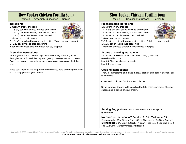### Slow Cooker Chicken Tortilla Soup

Recipe 3 — Assembly Guidelines — Serves 6

#### **Ingredients:**

- 1 medium onion, chopped
- 1 (16-oz) can chili beans, drained and rinsed
- 1 (16-oz) can black beans, drained and rinsed
- 1 (15-oz) can whole kernel corn, drained
- 1 (8-oz) can tomato sauce
- 2 (10-oz) cans diced tomatoes with chilies (Rotel is a good brand)
- 1 (1.25-oz) envelope taco seasoning
- 4 boneless skinless chicken breast halves, chopped

#### **Assembly Instructions:**

In a 2-gallon plastic freezer bag, place first 8 ingredients (onion through chicken). Seal the bag and gently massage to coat contents. Open the bag and carefully squeeze to remove excess air. Seal the bag.

Place your label on the bag or write the name, date and recipe number on the bag; place in your freezer.

### Slow Cooker Chicken Tortilla Soup

Recipe 3 — Cooking Instructions — Serves 6

#### **Preassembled Ingredients:**

1 medium onion, chopped

- 1 (16-oz) can chili beans, drained and rinsed
- 1 (16-oz) can black beans, drained and rinsed
- 1 (15-oz) can whole kernel corn, drained
- 1 (8-oz) can tomato sauce
- 2 (10-oz) cans diced tomatoes with chilies (Rotel is a good brand)
- 1 (1.25-oz) envelope taco seasoning
- 4 boneless skinless chicken breast halves, chopped

#### **At time of cooking ingredients**

1 (12-oz) bottle beer (or non alcoholic beer) (optional) Baked tortilla chips Low fat Cheddar cheese, shredded Low fat sour cream

#### **Cooking Instructions:**

Thaw all ingredients and place in slow cooker; add beer if desired; stir to combine.

Cover and cook on LOW for about 7 hours.

Serve in bowls topped with crumbled tortilla chips, shredded Cheddar cheese and a dollop of sour cream.

**Serving Suggestions:** Serve with baked tortilla chips and guacamole.

**Nutrition per serving**: 430 Calories; 5g Fat; 39g Protein; 55g Carbohydrate; 11g Dietary Fiber; 63mg Cholesterol; 1437mg Sodium. **Exchanges:** 2 1/2 Grain (Starch); 4 Lean Meat; 1 1/2 Vegetable; 1/2 Fat; 1/2 Other Carbohydrates. **Points:** 8

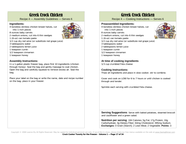### Greek Crock Chicken

Recipe 4 — Assembly Guidelines — Serves 6

#### **Ingredients:**

4 boneless skinless chicken breast halves, cut into 1-inch pieces



- 2 medium onions, cut into 6 thin wedges
- 1 (6-oz) can tomato paste

8 ounces baby carrots

- 1/2 cup dry red wine (or substitute red grape juice)
- 3 tablespoons water
- 2 tablespoons lemon juice
- 1 teaspoon cumin
- 1/2 teaspoon cinnamon
- 1 teaspoon honey

#### **Assembly Instructions:**

In a 1-gallon plastic freezer bag, place first 10 ingredients (chicken through honey). Seal the bag and gently massage to coat chicken. Open the bag and carefully squeeze to remove excess air. Seal the bag.

Place your label on the bag or write the name, date and recipe number on the bag; place in your freezer.

### Greek Crock Chicken

Recipe 4 — Cooking Instructions — Serves 6

#### **Preassembled Ingredients:**

- 4 boneless skinless chicken breast halves, cut into 1-inch pieces
- 8 ounces baby carrots
- 2 medium onions, cut into 6 thin wedges
- 1 (6-oz) can tomato paste
- 1/2 cup dry red wine (or substitute red grape juice)
- 3 tablespoons water
- 2 tablespoons lemon juice
- 1 teaspoon cumin
- 1/2 teaspoon cinnamon
- 1 teaspoon honey

#### **At time of cooking ingredients**

1/3 cup crumbled Feta cheese

#### **Cooking Instructions:**

Thaw all ingredients and place in slow cooker; stir to combine.

Cover and cook on LOW for 6 to 7 hours or until chicken is cooked through and tender.

Sprinkle each serving with crumbled Feta cheese.

**Serving Suggestions:** Serve with baked potatoes, steamed broccoli and cauliflower and a green salad.

**Nutrition per serving**: 184 Calories; 5g Fat; 17g Protein; 16g Carbohydrate; 3g Dietary Fiber; 64mg Cholesterol; 395mg Sodium. **Exchanges:** 0 Grain (Starch); 2 Lean Meat; 2 Vegetable. **Points:** 3

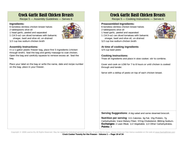### Crock Garlic Basil Chicken Breasts

Recipe 5 — Assembly Guidelines — Serves 6

#### **Ingredients:**

- 6 boneless skinless chicken breast halves
- 2 tablespoons olive oil
- 1 head garlic, peeled and separated
- 1 (14.5-oz) can diced tomatoes with balsamic
- vinegar, basil and olive oil, un-drained 1/2 cup low sodium chicken broth

#### **Assembly Instructions:**

In a 1-gallon plastic freezer bag, place first 5 ingredients (chicken through broth). Seal the bag and gently massage to coat chicken. Open the bag and carefully squeeze to remove excess air. Seal the bag.

Place your label on the bag or write the name, date and recipe number on the bag; place in your freezer.

### Crock Garlic Basil Chicken Breasts

Recipe 5 — Cooking Instructions — Serves 6

#### **Preassembled Ingredients:**

- 6 boneless skinless chicken breast halves
- 2 tablespoons olive oil
- 1 head garlic, peeled and separated
- 1 (14.5-oz) can diced tomatoes with balsamic
- vinegar, basil and olive oil, un-drained 1/2 cup low sodium chicken broth



#### **At time of cooking ingredients**

1/4 cup basil pesto

#### **Cooking Instructions:**

Thaw all ingredients and place in slow cooker; stir to combine.

Cover and cook on LOW for 7 to 8 hours or until chicken is cooked through and tender.

Serve with a dollop of pesto on top of each chicken breast.

**Serving Suggestions:** A big salad and some steamed broccoli.

**Nutrition per serving**: 111 Calories; 3g Fat; 15g Protein; 7g Carbohydrate; trace Dietary Fiber; 57mg Cholesterol; 860mg Sodium. **Exchanges:** 2 Lean Meat; 1/2 Vegetable; 1/2 Other Carbohydrates. **Points:** 3

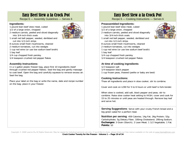### Easy Beef Stew a la Crock Pot

Recipe 6 — Assembly Guidelines — Serves 6

#### **Ingredients:**

- 1 pound lean beef stew meat, cubed
- 1/2 of a large onion, chopped
- 2 medium carrots, peeled and sliced diagonally into 3/4-inch-thick ovals
- 1 small red bell pepper, seeded, deribbed and cut into 1/2-inch strips
- 8 ounces small fresh mushrooms, cleaned
- 2 medium tomatoes, cut into wedges
- 1 cup red wine (or use low sodium beef broth)
- 1 bay leaf
- 1/4 cup chopped fresh parsley
- 1/4 teaspoon crushed red pepper flakes

#### **Assembly Instructions:**

In a 1-gallon plastic freezer bag, place first 10 ingredients (beef through crushed red pepper flakes). Seal the bag and gently massage to coat beef. Open the bag and carefully squeeze to remove excess air. Seal the bag.

Place your label on the bag or write the name, date and recipe number on the bag; place in your freezer.

### Easy Beef Stew a la Crock Pot

Recipe 6 — Cooking Instructions — Serves 6

#### **Preassembled Ingredients:**

- 1 pound lean beef stew meat, cubed
- 1/2 of a large onion, chopped
- 2 medium carrots, peeled and sliced diagonally into 3/4-inch-thick ovals
- 1 small red bell pepper, seeded, deribbed and cut into 1/2-inch strips
- 8 ounces small fresh mushrooms, cleaned
- 2 medium tomatoes, cut into wedges
- 1 cup red wine (or use low sodium beef broth)
- 1 bay leaf
- 1/4 cup chopped fresh parsley
- 1/4 teaspoon crushed red pepper flakes

#### **At time of cooking ingredients**

1/2 teaspoon salt 1/4 teaspoon black pepper 1 cup frozen peas, thawed (petite or baby are best)

#### **Cooking Instructions:**

Thaw all ingredients and place in slow cooker; stir to combine.

Cover and cook on LOW for 5 to 6 hours or until beef is fork-tender.

When stew is cooked, add salt, black pepper and peas; stir to combine. Raise slow cooker heat setting to HIGH; cover and cook for 15 to 25 minutes or until peas are heated through. Remove bay leaf and serve hot.

**Serving Suggestions:** Serve with your crusty French bread and a big green salad for a perfect meal.

**Nutrition per serving**: 459 Calories; 14g Fat; 26g Protein; 52g Carbohydrate; 5g Dietary Fiber; 100mg Cholesterol; 295mg Sodium. **Exchanges:** 3 Grain (Starch); 2 Lean Meat; 1 1/2 Vegetable; 1 Fat. **Points:** 10



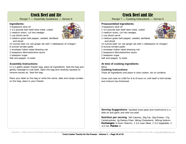### Crock Beef and Ale

Recipe 7 — Assembly Guidelines — Serves 6

#### **Ingredients:**

- 3 teaspoons olive oil
- 1 1/2 pounds lean beef stew meat, cubed
- 1 medium onion, cut into wedges



- 1 medium green bell pepper, seeded, deribbed and sliced
- 12 ounces beer (or use ginger ale with 1 tablespoon of vinegar)
- 6 ounces tomato paste
- 1 envelope Italian salad dressing mix
- 2 teaspoons Worcestershire sauce
- 1 teaspoon sugar
- Salt and pepper, to taste

#### **Assembly Instructions:**

In a 1-gallon plastic freezer bag, place all ingredients. Seal the bag and gently massage to coat beef. Open the bag and carefully squeeze to remove excess air. Seal the bag.

Place your label on the bag or write the name, date and recipe number on the bag; place in your freezer.



### Crock Beef and Ale

Recipe 7 — Cooking Instructions — Serves 6

#### **Preassembled Ingredients:**

- 3 teaspoons olive oil
- 1 1/2 pounds lean beef stew meat, cubed
- 1 medium onion, cut into wedges
- 1 cup sliced carrot
- 1 medium green bell pepper, seeded, deribbed and sliced
- 12 ounces beer (or use ginger ale with 1 tablespoon of vinegar)
- 6 ounces tomato paste
- 1 envelope Italian salad dressing mix
- 2 teaspoons Worcestershire sauce
- 1 teaspoon sugar
- Salt and pepper, to taste

#### **At time of cooking ingredients**

#### None

#### **Cooking Instructions:**

Thaw all ingredients and place in slow cooker; stir to combine.

Cover and cook on LOW for 6 to 8 hours or until beef is fork-tender and mixture has thickened.

**Serving Suggestions**: Sautéed snow peas and mushrooms in a little oil and garlic and wild rice pilaf.

**Nutrition per serving**: 345 Calories; 20g Fat; 20g Protein; 17g Carbohydrate; 3g Dietary Fiber; 66mg Cholesterol; 345mg Sodium. **Exchanges:** 0 Grain (Starch); 2 1/2 Lean Meat; 2 1/2 Vegetable; 2 1/2 Fat. **Points:** 8

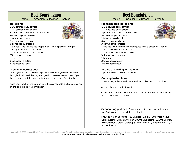### Beef Bourguignon

Recipe 8 — Assembly Guidelines — Serves 6

#### **Ingredients:**

- 1 1/2 pounds baby carrots
- 1 1/2 pounds pearl onions
- 2 pounds lean beef stew meat, cubed
- Salt and pepper, to taste
- 1 tablespoon olive oil
- 6 green onions, chopped
- 3 cloves garlic, pressed
- 1 cup red wine (or use red grape juice with a splash of vinegar)
- 1/3 cup low sodium beef broth
- 1 1/2 tablespoons tomato paste
- 3/4 teaspoon rosemary
- 1 bay leaf
- 3 tablespoons butter
- 3 tablespoons flour

#### **Assembly Instructions:**

In a 1-gallon plastic freezer bag, place first 14 ingredients (carrots through flour). Seal the bag and gently massage to coat beef. Open the bag and carefully squeeze to remove excess air. Seal the bag.

Place your label on the bag or write the name, date and recipe number on the bag; place in your freezer.

### Beef Bourguignon

Recipe 8 — Cooking Instructions — Serves 6

#### **Preassembled Ingredients:**

1 1/2 pounds baby carrots 1 1/2 pounds pearl onions 2 pounds lean beef stew meat, cubed Salt and pepper, to taste 1 tablespoon olive oil 6 green onions, chopped 3 cloves garlic, pressed 1 cup red wine (or use red grape juice with a splash of vinegar) 1/3 cup low sodium beef broth 1 1/2 tablespoons tomato paste 3/4 teaspoon rosemary 1 bay leaf 3 tablespoons butter 3 tablespoons flour

#### **At time of cooking ingredients**

1 pound white mushrooms, halved

#### **Cooking Instructions:**

Thaw all ingredients and place in slow cooker; stir to combine.

Add mushrooms and stir again.

Cover and cook on LOW for 7 to 9 hours or until beef is fork-tender and mixture has thickened.

**Serving Suggestions:** Serve on bed of brown rice. Add some sautéed spinach to round this meal out.

**Nutrition per serving**: 428 Calories; 17g Fat; 38g Protein; 26g Carbohydrate; 5g Dietary Fiber; 103mg Cholesterol; 521mg Sodium. **Exchanges:** 0 Grain (Starch); 5 Lean Meat; 4 1/2 Vegetable; 1 1/2 Fat. **Points:** 9

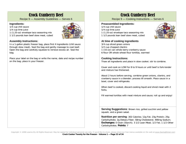### Crock Cranberry Beef

Recipe 9 — Assembly Guidelines — Serves 6

#### **Ingredients:**

1/4 cup chili sauce

1/4 cup lime juice



1 1/2 pounds lean beef stew meat, cubed

#### **Assembly Instructions:**

In a 1-gallon plastic freezer bag, place first 4 ingredients (chili sauce through stew meat). Seal the bag and gently massage to coat beef. Open the bag and carefully squeeze to remove excess air. Seal the bag.

Place your label on the bag or write the name, date and recipe number on the bag; place in your freezer.

### Crock Cranberry Beef

Recipe 9 — Cooking Instructions — Serves 6

#### **Preassembled Ingredients:**

1/4 cup chili sauce 1/4 cup lime juice 1 (1.25-oz) envelope taco seasoning mix 1 1/2 pounds lean beef stew meat, cubed



#### **At time of cooking ingredients**

3/4 cup sliced green onions

- 1/2 cup chopped cilantro
- 1 (15-oz) can whole berry cranberry sauce
- 6 flour OR whole wheat flour tortillas, warmed

#### **Cooking Instructions:**

Thaw all ingredients and place in slow cooker; stir to combine.

Cover and cook on LOW for 8 to 9 hours or until beef is fork-tender and mixture has thickened.

About 2 hours before serving, combine green onions, cilantro, and cranberry sauce in a blender; process till smooth. Place sauce in a bowl, cover and refrigerate.

When beef is cooked, discard cooking liquid and shred meat with 2 forks.

Fill warmed tortillas with meat mixture and sauce; roll up and enjoy!

**Serving Suggestions: Brown rice, grilled zucchini and yellow** squash, and a green salad.

**Nutrition per serving**: 302 Calories; 12g Fat; 23g Protein; 25g Carbohydrate; 2g Dietary Fiber; 58mg Cholesterol; 490mg Sodium. **Exchanges:** 0 Grain (Starch); 3 1/2 Lean Meat; 1/2 Fat; 1 1/2 Other Carbohydrates. **Points:** 7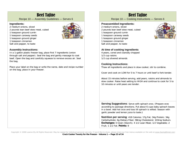### Beef Tajine

Recipe 10 — Assembly Guidelines — Serves 6

#### **Ingredients:**

- 2 medium onions, sliced
- 2 pounds lean beef stew meat, cubed
- 1 teaspoon ground cumin
- 1 teaspoon caraway seeds
- 1 teaspoon ground ginger
- 1 teaspoon cinnamon
- Salt and pepper, to taste

#### **Assembly Instructions:**

In a 1-gallon plastic freezer bag, place first 7 ingredients (onion through salt and pepper). Seal the bag and gently massage to coat beef. Open the bag and carefully squeeze to remove excess air. Seal the bag.

Place your label on the bag or write the name, date and recipe number on the bag; place in your freezer.

### Beef Tajine

Recipe 10 — Cooking Instructions — Serves 6

#### **Preassembled Ingredients:**

- 2 medium onions, sliced
- 2 pounds lean beef stew meat, cubed
- 1 teaspoon ground cumin
- 1 teaspoon caraway seeds
- 1 teaspoon ground ginger
- 1 teaspoon cinnamon
- Salt and pepper, to taste

#### **At time of cooking ingredients**

4 pears, cored and coarsely chopped 1/2 cup raisins 1/2 cup slivered almonds

#### **Cooking Instructions:**

Thaw all ingredients and place in slow cooker; stir to combine.

Cover and cook on LOW for 5 to 7 hours or until beef is fork-tender.

About 15 minutes before serving, add pears, raisins and almonds to slow cooker. Raise heat setting to HIGH and continue to cook for 5 to 10 minutes or until pears are tender.

**Serving Suggestions:** Serve with spinach orzo. (Prepare orzo according to package directions. Put about 6 cups baby spinach leaves in a bowl. Add hot orzo and toss till spinach is wilted. Season with garlic powder and lemon juice to taste.)

**Nutrition per serving**: 418 Calories; 17g Fat; 34g Protein; 34g Carbohydrate; 6g Dietary Fiber; 98mg Cholesterol; 103mg Sodium. **Exchanges:** 0 Grain (Starch); 4 1/2 Lean Meat; 1/2 Vegetable; 2 Fruit; 1 1/2 Fat. **Points:** 9



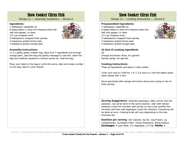### Slow Cooker Citrus Fish

Recipe 11 — Assembly Guidelines — Serves 6

#### **Ingredients:**

- 1 tablespoon vegetable oil
- 6 tilapia fillets or other firm-fleshed white fish
- Salt and pepper, to taste
- 1/2 cup chopped onion
- 5 tablespoons chopped fresh parsley
- 2 teaspoons grated lemon peel
- 2 teaspoons grated orange peel

#### **Assembly Instructions:**

In a 1-gallon plastic freezer bag, place first 7 ingredients (oil through orange peel). Seal the bag and gently massage to coat fish. Open the bag and carefully squeeze to remove excess air. Seal the bag.

Place your label on the bag or write the name, date and recipe number on the bag; place in your freezer.

### Slow Cooker Citrus Fish

Recipe 11 — Cooking Instructions — Serves 6

#### **Preassembled Ingredients:**

1 tablespoon vegetable oil 6 tilapia fillets or other firm-fleshed white fish Salt and pepper, to taste 1/2 cup chopped onion 5 tablespoons chopped fresh parsley 2 teaspoons grated lemon peel 2 teaspoons grated orange peel



**At time of cooking ingredients**  Oil

Orange and lemon slices, for garnish Parsley sprigs, for garnish

#### **Cooking Instructions:**

Thaw all ingredients and place in slow cooker.

Cover and cook on LOW for 1 to 1 1/2 hours or until fish flakes easily when tested with a fork.

Serve garnished with orange and lemon slices and a sprig or two of fresh parsley.

**Serving Suggestions:** Steamed asparagus, baby carrots and red potatoes. Can all be done in the same steamer: start with halved potatoes (cook five minutes) add carrots on top (cook another five minutes) and then add asparagus (cook five minutes). Everything will be done at once. Cooking times will vary depending on the size, thickness etc.

**Nutrition per serving**: 181 Calories; 5g Fat; 31g Protein; 2g Carbohydrate; 1g Dietary Fiber; 73mg Cholesterol; 95mg Sodium. **Exchanges:** 4 Lean Meat; 1/2 Vegetable; 1/2 Fat. **Points:** 4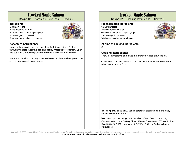### Crocked Maple Salmon

Recipe 12 — Assembly Guidelines — Serves 6

#### **Ingredients:**

- 6 salmon fillets
- 2 tablespoons olive oil
- 6 tablespoons pure maple syrup
- 2 cloves garlic, pressed
- 3 tablespoons balsamic vinegar

#### **Assembly Instructions:**

In a 1-gallon plastic freezer bag, place first 7 ingredients (salmon through vinegar). Seal the bag and gently massage to coat fish. Open the bag and carefully squeeze to remove excess air. Seal the bag.

Place your label on the bag or write the name, date and recipe number on the bag; place in your freezer.

### Crocked Maple Salmon

Recipe 12 — Cooking Instructions — Serves 6

#### **Preassembled Ingredients:**

- 6 salmon fillets
- 2 tablespoons olive oil
- 6 tablespoons pure maple syrup
- 2 cloves garlic, pressed
- 3 tablespoons balsamic vinegar

**At time of cooking ingredients**  Oil

#### **Cooking Instructions:**

Thaw all ingredients and place in a lightly greased slow cooker.

Cover and cook on Low for 1 to 2 hours or until salmon flakes easily when tested with a fork.

**Serving Suggestions**: Baked potatoes, steamed kale and baby carrots (cooked or raw).

**Nutrition per serving**: 557 Calories; 18Fat; 36g Protein; 17g Carbohydrate; trace Dietary Fiber; 178mg Cholesterol; 685mg Sodium. **Exchanges:** 5 1/2 Lean Meat; 6 1/2 Fat; 1 Other Carbohydrates. **Points:** 13



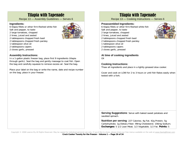### Tilapia with Tapenade

Recipe 13 — Assembly Guidelines — Serves 6

#### **Ingredients:**

- 6 tilapia fillets or other firm-fleshed white fish
- Salt and pepper, to taste
- 2 large tomatoes, chopped
- 2 limes, juiced and zested
- 2 tablespoons chopped fresh basil
- 2 tablespoons chopped fresh parsley
- 1 tablespoon olive oil
- 2 tablespoons capers
- 2 cloves garlic, pressed

#### **Assembly Instructions:**

In a 1-gallon plastic freezer bag, place first 9 ingredients (tilapia through garlic). Seal the bag and gently massage to coat fish. Open the bag and carefully squeeze to remove excess air. Seal the bag.

Place your label on the bag or write the name, date and recipe number on the bag; place in your freezer.

### Tilapia with Tapenade

Recipe 13 — Cooking Instructions — Serves 6

#### **Preassembled Ingredients:**

- 6 tilapia fillets or other firm-fleshed white fish Salt and pepper, to taste
- 2 large tomatoes, chopped
- 2 limes, juiced and zested
- 2 tablespoons chopped fresh basil 2 tablespoons chopped fresh parsley
- 
- 1 tablespoon olive oil
- 2 tablespoons capers
- 2 cloves garlic, pressed

**At time of cooking ingredients**  Oil

#### **Cooking Instructions:**

Thaw all ingredients and place in a lightly greased slow cooker.

Cover and cook on LOW for 2 to 3 hours or until fish flakes easily when tested with a fork.

**Serving Suggestions**: Serve with baked sweet potatoes and sautéed spinach.

**Nutrition per serving**: 227 Calories; 4g Fat; 42g Protein; 5g Carbohydrate; 1g Dietary Fiber; 99mg Cholesterol; 156mg Sodium. **Exchanges:** 5 1/2 Lean Meat; 1/2 Vegetable; 1/2 Fat. **Points:** 5

Copyright © 2008 Leanne Ely All Rights Reserved. May be copied for individual personal use only. If you'd like to share, please share our free menus available on the web at www.SavingDinner.com **Crock Cooker Twenty for the Freezer - Volume 1 — Page 26 of 34** 



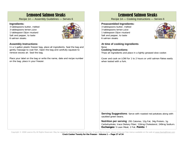### Lemoned Salmon Steaks

Recipe 14 — Assembly Guidelines — Serves 6

#### **Ingredients:**

3 tablespoons butter, melted 3 tablespoons lemon juice 1 tablespoon Dijon mustard Salt and pepper, to taste 6 salmon steaks



#### **Assembly Instructions:**

In a 1-gallon plastic freezer bag, place all ingredients. Seal the bag and gently massage to coat fish. Open the bag and carefully squeeze to remove excess air. Seal the bag.

Place your label on the bag or write the name, date and recipe number on the bag; place in your freezer.

### Lemoned Salmon Steaks

Recipe 14 — Cooking Instructions — Serves 6

#### **Preassembled Ingredients:**

3 tablespoons butter, melted 3 tablespoons lemon juice 1 tablespoon Dijon mustard Salt and pepper, to taste 6 salmon steaks



**At time of cooking ingredients**  None**Cooking Instructions:** 

Thaw all ingredients and place in a lightly greased slow cooker.

Cover and cook on LOW for 1 to 2 hours or until salmon flakes easily when tested with a fork.

**Serving Suggestions:** Serve with roasted red potatoes along with sautéed green beans.

**Nutrition per serving**: 291 Calories; 12g Fat; 34g Protein; 1g Carbohydrate; trace Dietary Fiber; 116mg Cholesterol; 249mg Sodium. **Exchanges:** 5 Lean Meat; 2 Fat. **Points:** 7

Copyright © 2008 Leanne Ely All Rights Reserved. May be copied for individual personal use only. If you'd like to share, please share our free menus available on the web at www.SavingDinner.com **Crock Cooker Twenty for the Freezer - Volume 1 — Page 27 of 34**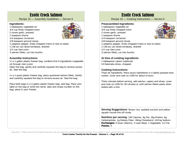### Exotic Crock Salmon

Recipe 15 — Assembly Guidelines — Serves 6

#### **Ingredients:**

- 1 tablespoon vegetable oil
- 3/4 cup finely chopped onion



1 teaspoon thyme



- 1/4 teaspoon cinnamon 1/8 teaspoon ground cloves
- 1 jalapeno pepper, finely chopped (more or less to taste)
- 1 (28-oz) can diced tomatoes, drained
- 1/2 cup clam juice
- 3 salmon fillets, cut into fourths

#### **Assembly Instructions:**

In a 1-gallon plastic freezer bag, combine first 9 ingredients (vegetable oil through clam juice).

Open the bag; gently and carefully squeeze the bag to remove excess air. Seal the bag.

In a 1-quart plastic freezer bag, place quartered salmon fillets. Gently and carefully squeeze the bag to remove excess air. Seal the bag.

Place both bags in a 2-gallon plastic freezer bag; seal bag. Place your label on the bag or write the name, date and recipe number on the bag; place in your freezer.

### Exotic Crock Salmon

Recipe 15 — Cooking Instructions — Serves 6

#### **Preassembled Ingredients:**

- 1 tablespoon vegetable oil
- 3/4 cup finely chopped onion 2 cloves garlic, pressed
- 
- 1 teaspoon thyme 1/4 teaspoon cinnamon
- 1/8 teaspoon ground cloves
- 1 jalapeno pepper, finely chopped (more or less to taste)
- 1 (28-oz) can diced tomatoes, drained
- 1/2 cup clam juice
- 3 salmon fillets, cut into fourths

#### **At time of cooking ingredients**

1 tablespoon capers (optional) 10 Kalamata olives, chopped

#### **Cooking Instructions:**

Thaw all ingredients. Place sauce ingredients in a lightly greased slow cooker; cover and cook on LOW for about 6 hours.

Thirty minutes before serving, add salmon, capers and olives; cover and cook on LOW for 30 minutes or until salmon flakes easily when tested with a fork.

**Serving Suggestions: Brown rice, sautéed zucchini and yellow** squash rounds this off nicely.

**Nutrition per serving**: 130 Calories; 4g Fat; 16g Protein; 6g Carbohydrate; 1g Dietary Fiber; 39mg Cholesterol; 247mg Sodium. **Exchanges:** 0 Grain (Starch); 2 Lean Meat; 1 Vegetable; 1/2 Fat. **Points:** 3

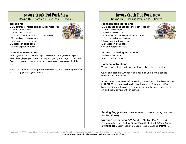### Savory Crock Pot Pork Stew

Recipe 16 — Assembly Guidelines — Serves 6

#### **Ingredients:**

- 1 1/2 pounds boneless pork shoulder roast, cut into 1-inch cubes
- 1 tablespoon olive oil
- 1 (14.5-oz) can low sodium chicken broth
- 1/2 cup sliced green onions
- 1 teaspoon dried rosemary
- 1/2 teaspoon dried sage
- Salt and pepper, to taste

#### **Assembly Instructions:**

In a 1-gallon plastic freezer bag, combine first 8 ingredients (pork roast through pepper). Seal the bag and gently massage to coat pork. Open the bag and carefully squeeze to remove excess air. Seal the bag.

Place your label on the bag or write the name, date and recipe number on the bag; place in your freezer.

### Savory Crock Pot Pork Stew

Recipe 16 — Cooking Instructions — Serves 6

#### **Preassembled Ingredients:**

- 1 1/2 pounds boneless pork shoulder roast, cut into 1-inch cubes
- 1 tablespoon olive oil
- 1 (14.5-oz) can low sodium chicken broth
- 1/2 cup sliced green onions
- 1 teaspoon dried rosemary
- 1/2 teaspoon dried sage Salt and pepper, to taste

#### **At time of cooking ingredients**

3 tablespoons flour 3/4 cup half and half

#### **Cooking Instructions:**

Thaw all ingredients and place in slow cooker; stir to combine.

Cover and cook on LOW for 7 to 8 hours or until pork is cooked through and fork-tender.

About 15 to 20 minutes before serving, raise slow cooker heat setting to HIGH. Then, in a small mixing bowl, combine flour and half and half, blending until smooth. Gradually stir into the stew. Keep the lid off and cook, stirring until thickened.

**Serving Suggestions:** A loaf of French bread and a big salad will top this off nicely.

**Nutrition per serving**: 358 Calories; 27g Fat; 23g Protein; 4g Carbohydrate; trace Dietary Fiber; 90mg Cholesterol; 523mg Sodium. **Exchanges:** 0 Grain (Starch); 3 Lean Meat; 3 1/2 Fat. **Points:** 9

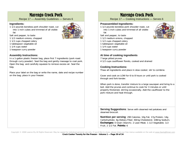### Marengo Crock Pork

Recipe 17 — Assembly Guidelines — Serves 6

#### **Ingredients:**

1 1/2 pounds boneless pork shoulder roast, cut into 1-inch cubes and trimmed of all visible fat



- Salt and pepper, to taste 1 1/2 medium onions, chopped
- 1 1/2 cups chopped celery
- 1 tablespoon vegetable oil
- 1 1/4 cups water
- 1 teaspoon curry powder

#### **Assembly Instructions:**

In a 1-gallon plastic freezer bag, place first 7 ingredients (pork roast through curry powder). Seal the bag and gently massage to coat pork. Open the bag and carefully squeeze to remove excess air. Seal the bag.

Place your label on the bag or write the name, date and recipe number on the bag; place in your freezer.

### Marengo Crock Pork

Recipe 17 — Cooking Instructions — Serves 6

#### **Preassembled Ingredients:**

- 1 1/2 pounds boneless pork shoulder roast, cut into 1-inch cubes and trimmed of all visible fat
- Salt and pepper, to taste
- 1 1/2 medium onions, chopped
- 1 1/2 cups chopped celery
- 1 tablespoon vegetable oil
- 1 1/4 cups water
- 1 teaspoon curry powder

#### **At time of cooking ingredients**

- 7 large pitted prunes
- 4 1/2 cups cauliflower florets, cooked and drained

#### **Cooking Instructions:**

Thaw all ingredients and place in slow cooker; stir to combine.

Cover and cook on LOW for 6 to 8 hours or until pork is cooked through and fork-tender.

When pork is done, transfer mixture to a large saucepan and bring to a boil. Add the prunes and continue to cook for 3 minutes or until properly thickened, stirring occasionally. Add the cauliflower to the pork mixture and heat through.

**Serving Suggestions**: Serve with steamed red potatoes and steamed broccoli.

**Nutrition per serving**: 290 Calories; 10g Fat; 17g Protein; 14g Carbohydrate; 4g Dietary Fiber; 60mg Cholesterol; 108mg Sodium. **Exchanges:** 0 Grain (Starch); 2 Lean Meat; 1 1/2 Vegetable; 1/2 Fruit; 2 1/2 Fat. **Points:** 6

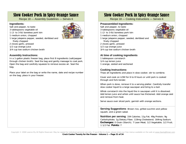### Slow Cooker Pork in Spicy Orange Sauce

Recipe 18 — Assembly Guidelines — Serves 6

#### **Ingredients:**

- Salt and pepper, to taste
- 3 tablespoons vegetable oil
- 1 (2- to 3-lb) boneless pork loin
- 1 medium onion, chopped
- 1 large jalapeno pepper, seeded, deribbed and finely chopped
- 2 cloves garlic, pressed
- 1/2 cup orange juice
- 3/4 cup low sodium chicken broth

#### **Assembly Instructions:**

In a 1-gallon plastic freezer bag, place first 8 ingredients (salt/pepper through chicken broth). Seal the bag and gently massage to coat pork. Open the bag and carefully squeeze to remove excess air. Seal the bag.

Place your label on the bag or write the name, date and recipe number on the bag; place in your freezer.

### Slow Cooker Pork in Spicy Orange Sauce

Recipe 18 — Cooking Instructions — Serves 6

#### **Preassembled Ingredients:**

Salt and pepper, to taste

- 3 tablespoons vegetable oil
- 1 (2- to 3-lb) boneless pork loin
- 1 medium onion, chopped
- 1 large jalapeno pepper, seeded, deribbed and finely chopped
- 2 cloves garlic, pressed
- 1/2 cup orange juice
- 3/4 cup low sodium chicken broth

#### **At time of cooking ingredients**

1 tablespoon cornstarch 1/4 cup lemon juice 1 orange, zested and sectioned

#### **Cooking Instructions:**

Thaw all ingredients and place in slow cooker; stir to combine.

Cover and cook on LOW for 6 to 8 hours or until pork is cooked through and fork-tender.

When pork is done, remove it to a serving platter. Carefully transfer slow cooker liquid to a large saucepan and bring to a boil.

Whisk cornstarch into the liquid the in saucepan until it is dissolved. Add lemon juice and whisk until sauce has thickened. Add orange zest and remove from heat.

Serve sauce over sliced pork; garnish with orange sections.

**Serving Suggestions: Brown rice, grilled zucchini and yellow** squash, and a green salad.

**Nutrition per serving**: 334 Calories; 11g Fat; 49g Protein; 9g Carbohydrate; 1g Dietary Fiber; 119mg Cholesterol; 164mg Sodium. **Exchanges:** 0 Grain (Starch); 7 Lean Meat; 1/2 Vegetable; 1/2 Fruit; 1 1/2 Fat. **Points:** 7

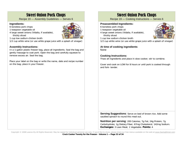### Sweet Onion Pork Chops

Recipe 19 — Assembly Guidelines — Serves 6

#### **Ingredients:**

- 6 boneless pork chops
- 1 teaspoon vegetable oil
- 4 large sweet onions (Vidalia, if available), thickly sliced



- 1 cup low sodium chicken broth
- 1/2 cup white wine (or use white grape juice with a splash of vinegar)

#### **Assembly Instructions:**

In a 1-gallon plastic freezer bag, place all ingredients. Seal the bag and gently massage to coat pork. Open the bag and carefully squeeze to remove excess air. Seal the bag.

Place your label on the bag or write the name, date and recipe number on the bag; place in your freezer.

### Sweet Onion Pork Chops

Recipe 19 — Cooking Instructions — Serves 6

#### **Preassembled Ingredients:**

- 6 boneless pork chops
- 1 teaspoon vegetable oil
- 4 large sweet onions (Vidalia, if available), thickly sliced
- 1 cup low sodium chicken broth
- 1/2 cup white wine (or use white grape juice with a splash of vinegar)

#### **At time of cooking ingredients**  None

#### **Cooking Instructions:**

Thaw all ingredients and place in slow cooker; stir to combine.

Cover and cook on LOW for 8 hours or until pork is cooked through and fork- tender.

**Serving Suggestions:** Serve on bed of brown rice. Add some sautéed spinach to round this meal out.

**Nutrition per serving**: 200 Calories; 7g Fat; 24g Protein; 7g Carbohydrate; 1g Dietary Fiber; 67mg Cholesterol; 142mg Sodium. **Exchanges:** 3 Lean Meat; 1 Vegetable. **Points:** 4